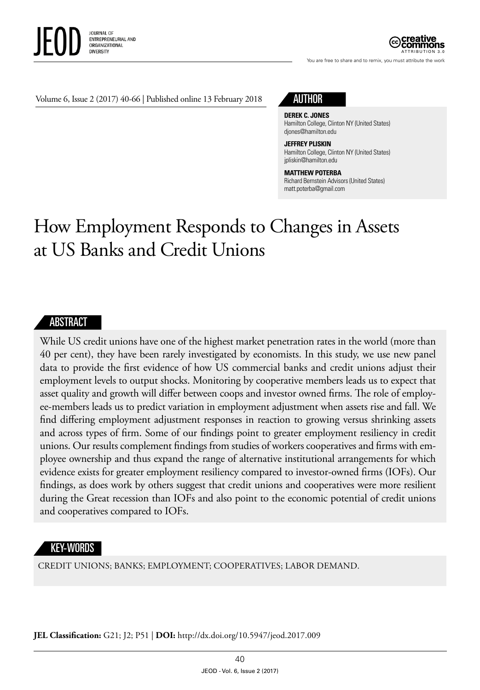

ATTRIBUTION 3.0

You are free to share and to remix, you must attribute the work

Volume 6, Issue 2 (2017) 40-66 | Published online 13 February 2018

# AUTHOR

#### **DEREK C. JONES**

Hamilton College, Clinton NY (United States) [djones@hamilton.edu](mailto:djones@hamilton.edu)

#### **JEFFREY PLISKIN**

Hamilton College, Clinton NY (United States) [jpliskin@hamilton.edu](mailto:jpliskin@hamlton.edu)

#### **MATTHEW POTERBA**

Richard Bernstein Advisors (United States) [matt.poterba@gmail.com](mailto:matt.poterba@gmail.com)

# How Employment Responds to Changes in Assets at US Banks and Credit Unions

## **ABSTRACT**

While US credit unions have one of the highest market penetration rates in the world (more than 40 per cent), they have been rarely investigated by economists. In this study, we use new panel data to provide the first evidence of how US commercial banks and credit unions adjust their employment levels to output shocks. Monitoring by cooperative members leads us to expect that asset quality and growth will differ between coops and investor owned firms. The role of employee-members leads us to predict variation in employment adjustment when assets rise and fall. We find differing employment adjustment responses in reaction to growing versus shrinking assets and across types of firm. Some of our findings point to greater employment resiliency in credit unions. Our results complement findings from studies of workers cooperatives and firms with employee ownership and thus expand the range of alternative institutional arrangements for which evidence exists for greater employment resiliency compared to investor-owned firms (IOFs). Our findings, as does work by others suggest that credit unions and cooperatives were more resilient during the Great recession than IOFs and also point to the economic potential of credit unions and cooperatives compared to IOFs.

## KEY-WORDS

CREDIT UNIONS; BANKS; EMPLOYMENT; COOPERATIVES; LABOR DEMAND.

**JEL Classification:** G21; J2; P51 | **DOI:** [http://dx.doi.org/10.5947/jeod.2017.00](http://dx.doi.org/10.5947/jeod.2017.008)9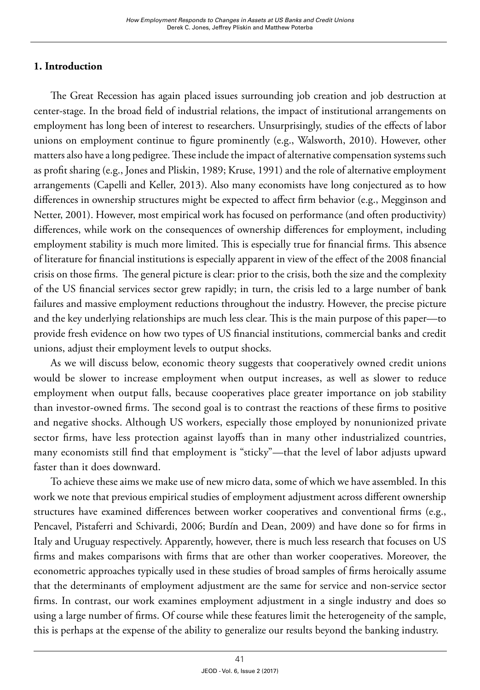# **1. Introduction**

The Great Recession has again placed issues surrounding job creation and job destruction at center-stage. In the broad field of industrial relations, the impact of institutional arrangements on employment has long been of interest to researchers. Unsurprisingly, studies of the effects of labor unions on employment continue to figure prominently (e.g., Walsworth, 2010). However, other matters also have a long pedigree. These include the impact of alternative compensation systems such as profit sharing (e.g., Jones and Pliskin, 1989; Kruse, 1991) and the role of alternative employment arrangements (Capelli and Keller, 2013). Also many economists have long conjectured as to how differences in ownership structures might be expected to affect firm behavior (e.g., Megginson and Netter, 2001). However, most empirical work has focused on performance (and often productivity) differences, while work on the consequences of ownership differences for employment, including employment stability is much more limited. This is especially true for financial firms. This absence of literature for financial institutions is especially apparent in view of the effect of the 2008 financial crisis on those firms. The general picture is clear: prior to the crisis, both the size and the complexity of the US financial services sector grew rapidly; in turn, the crisis led to a large number of bank failures and massive employment reductions throughout the industry. However, the precise picture and the key underlying relationships are much less clear. This is the main purpose of this paper—to provide fresh evidence on how two types of US financial institutions, commercial banks and credit unions, adjust their employment levels to output shocks.

As we will discuss below, economic theory suggests that cooperatively owned credit unions would be slower to increase employment when output increases, as well as slower to reduce employment when output falls, because cooperatives place greater importance on job stability than investor-owned firms. The second goal is to contrast the reactions of these firms to positive and negative shocks. Although US workers, especially those employed by nonunionized private sector firms, have less protection against layoffs than in many other industrialized countries, many economists still find that employment is "sticky"—that the level of labor adjusts upward faster than it does downward.

To achieve these aims we make use of new micro data, some of which we have assembled. In this work we note that previous empirical studies of employment adjustment across different ownership structures have examined differences between worker cooperatives and conventional firms (e.g., Pencavel, Pistaferri and Schivardi, 2006; Burdín and Dean, 2009) and have done so for firms in Italy and Uruguay respectively. Apparently, however, there is much less research that focuses on US firms and makes comparisons with firms that are other than worker cooperatives. Moreover, the econometric approaches typically used in these studies of broad samples of firms heroically assume that the determinants of employment adjustment are the same for service and non-service sector firms. In contrast, our work examines employment adjustment in a single industry and does so using a large number of firms. Of course while these features limit the heterogeneity of the sample, this is perhaps at the expense of the ability to generalize our results beyond the banking industry.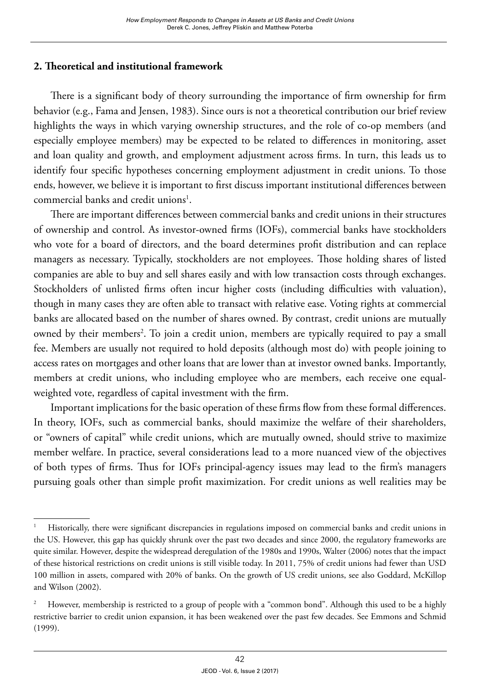# **2. Theoretical and institutional framework**

There is a significant body of theory surrounding the importance of firm ownership for firm behavior (e.g., Fama and Jensen, 1983). Since ours is not a theoretical contribution our brief review highlights the ways in which varying ownership structures, and the role of co-op members (and especially employee members) may be expected to be related to differences in monitoring, asset and loan quality and growth, and employment adjustment across firms. In turn, this leads us to identify four specific hypotheses concerning employment adjustment in credit unions. To those ends, however, we believe it is important to first discuss important institutional differences between commercial banks and credit unions<sup>1</sup>.

There are important differences between commercial banks and credit unions in their structures of ownership and control. As investor-owned firms (IOFs), commercial banks have stockholders who vote for a board of directors, and the board determines profit distribution and can replace managers as necessary. Typically, stockholders are not employees. Those holding shares of listed companies are able to buy and sell shares easily and with low transaction costs through exchanges. Stockholders of unlisted firms often incur higher costs (including difficulties with valuation), though in many cases they are often able to transact with relative ease. Voting rights at commercial banks are allocated based on the number of shares owned. By contrast, credit unions are mutually owned by their members<sup>2</sup>. To join a credit union, members are typically required to pay a small fee. Members are usually not required to hold deposits (although most do) with people joining to access rates on mortgages and other loans that are lower than at investor owned banks. Importantly, members at credit unions, who including employee who are members, each receive one equalweighted vote, regardless of capital investment with the firm.

Important implications for the basic operation of these firms flow from these formal differences. In theory, IOFs, such as commercial banks, should maximize the welfare of their shareholders, or "owners of capital" while credit unions, which are mutually owned, should strive to maximize member welfare. In practice, several considerations lead to a more nuanced view of the objectives of both types of firms. Thus for IOFs principal-agency issues may lead to the firm's managers pursuing goals other than simple profit maximization. For credit unions as well realities may be

<sup>&</sup>lt;sup>1</sup> Historically, there were significant discrepancies in regulations imposed on commercial banks and credit unions in the US. However, this gap has quickly shrunk over the past two decades and since 2000, the regulatory frameworks are quite similar. However, despite the widespread deregulation of the 1980s and 1990s, Walter (2006) notes that the impact of these historical restrictions on credit unions is still visible today. In 2011, 75% of credit unions had fewer than USD 100 million in assets, compared with 20% of banks. On the growth of US credit unions, see also Goddard, McKillop and Wilson (2002).

<sup>&</sup>lt;sup>2</sup> However, membership is restricted to a group of people with a "common bond". Although this used to be a highly restrictive barrier to credit union expansion, it has been weakened over the past few decades. See Emmons and Schmid (1999).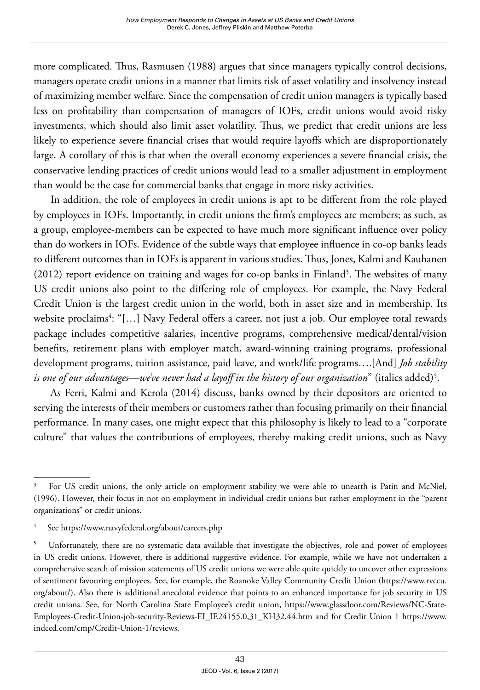more complicated. Thus, Rasmusen (1988) argues that since managers typically control decisions, managers operate credit unions in a manner that limits risk of asset volatility and insolvency instead of maximizing member welfare. Since the compensation of credit union managers is typically based less on profitability than compensation of managers of IOFs, credit unions would avoid risky investments, which should also limit asset volatility. Thus, we predict that credit unions are less likely to experience severe financial crises that would require layoffs which are disproportionately large. A corollary of this is that when the overall economy experiences a severe financial crisis, the conservative lending practices of credit unions would lead to a smaller adjustment in employment than would be the case for commercial banks that engage in more risky activities.

In addition, the role of employees in credit unions is apt to be different from the role played by employees in IOFs. Importantly, in credit unions the firm's employees are members; as such, as a group, employee-members can be expected to have much more significant influence over policy than do workers in IOFs. Evidence of the subtle ways that employee influence in co-op banks leads to different outcomes than in IOFs is apparent in various studies. Thus, Jones, Kalmi and Kauhanen  $(2012)$  report evidence on training and wages for co-op banks in Finland<sup>3</sup>. The websites of many US credit unions also point to the differing role of employees. For example, the Navy Federal Credit Union is the largest credit union in the world, both in asset size and in membership. Its website proclaims<sup>4</sup>: "[…] Navy Federal offers a career, not just a job. Our employee total rewards package includes competitive salaries, incentive programs, comprehensive medical/dental/vision benefits, retirement plans with employer match, award-winning training programs, professional development programs, tuition assistance, paid leave, and work/life programs….[And] *Job stability is one of our advantages—we've never had a layoff in the history of our organization*" (italics added)5 .

As Ferri, Kalmi and Kerola (2014) discuss, banks owned by their depositors are oriented to serving the interests of their members or customers rather than focusing primarily on their financial performance. In many cases, one might expect that this philosophy is likely to lead to a "corporate culture" that values the contributions of employees, thereby making credit unions, such as Navy

<sup>&</sup>lt;sup>3</sup> For US credit unions, the only article on employment stability we were able to unearth is Patin and McNiel, (1996). However, their focus in not on employment in individual credit unions but rather employment in the "parent organizations" or credit unions.

See <https://www.navyfederal.org/about/careers.php>

<sup>&</sup>lt;sup>5</sup> Unfortunately, there are no systematic data available that investigate the objectives, role and power of employees in US credit unions. However, there is additional suggestive evidence. For example, while we have not undertaken a comprehensive search of mission statements of US credit unions we were able quite quickly to uncover other expressions of sentiment favouring employees. See, for example, the Roanoke Valley Community Credit Union [\(https://www.rvccu.](https://www.rvccu.org/about/) [org/about/](https://www.rvccu.org/about/)). Also there is additional anecdotal evidence that points to an enhanced importance for job security in US credit unions. See, for North Carolina State Employee's credit union, [https://www.glassdoor.com/Reviews/NC-State-](https://www.glassdoor.com/Reviews/NC-State-Employees-Credit-Union-job-security-Reviews-EI_IE24155.0,31_KH32,44.htm)[Employees-Credit-Union-job-security-Reviews-EI\\_IE24155.0,31\\_KH32,44.htm](https://www.glassdoor.com/Reviews/NC-State-Employees-Credit-Union-job-security-Reviews-EI_IE24155.0,31_KH32,44.htm) and for Credit Union 1 [https://www.](https://www.indeed.com/cmp/Credit-Union-1/reviews) [indeed.com/cmp/Credit-Union-1/reviews.](https://www.indeed.com/cmp/Credit-Union-1/reviews)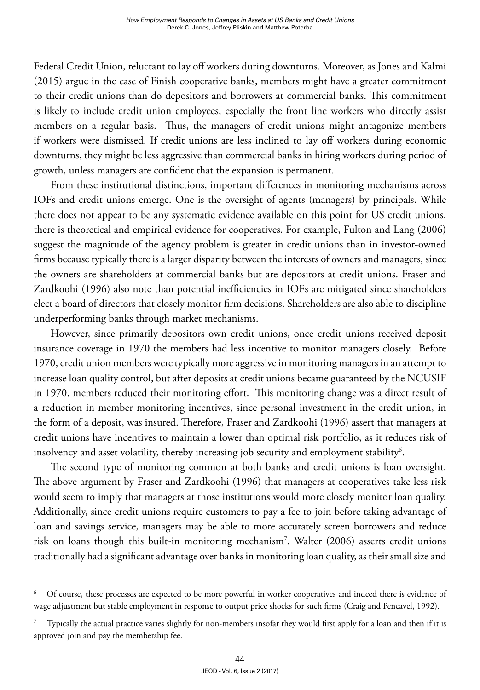Federal Credit Union, reluctant to lay off workers during downturns. Moreover, as Jones and Kalmi (2015) argue in the case of Finish cooperative banks, members might have a greater commitment to their credit unions than do depositors and borrowers at commercial banks. This commitment is likely to include credit union employees, especially the front line workers who directly assist members on a regular basis. Thus, the managers of credit unions might antagonize members if workers were dismissed. If credit unions are less inclined to lay off workers during economic downturns, they might be less aggressive than commercial banks in hiring workers during period of growth, unless managers are confident that the expansion is permanent.

From these institutional distinctions, important differences in monitoring mechanisms across IOFs and credit unions emerge. One is the oversight of agents (managers) by principals. While there does not appear to be any systematic evidence available on this point for US credit unions, there is theoretical and empirical evidence for cooperatives. For example, Fulton and Lang (2006) suggest the magnitude of the agency problem is greater in credit unions than in investor-owned firms because typically there is a larger disparity between the interests of owners and managers, since the owners are shareholders at commercial banks but are depositors at credit unions. Fraser and Zardkoohi (1996) also note than potential inefficiencies in IOFs are mitigated since shareholders elect a board of directors that closely monitor firm decisions. Shareholders are also able to discipline underperforming banks through market mechanisms.

However, since primarily depositors own credit unions, once credit unions received deposit insurance coverage in 1970 the members had less incentive to monitor managers closely. Before 1970, credit union members were typically more aggressive in monitoring managers in an attempt to increase loan quality control, but after deposits at credit unions became guaranteed by the NCUSIF in 1970, members reduced their monitoring effort. This monitoring change was a direct result of a reduction in member monitoring incentives, since personal investment in the credit union, in the form of a deposit, was insured. Therefore, Fraser and Zardkoohi (1996) assert that managers at credit unions have incentives to maintain a lower than optimal risk portfolio, as it reduces risk of insolvency and asset volatility, thereby increasing job security and employment stability<sup>6</sup>.

The second type of monitoring common at both banks and credit unions is loan oversight. The above argument by Fraser and Zardkoohi (1996) that managers at cooperatives take less risk would seem to imply that managers at those institutions would more closely monitor loan quality. Additionally, since credit unions require customers to pay a fee to join before taking advantage of loan and savings service, managers may be able to more accurately screen borrowers and reduce risk on loans though this built-in monitoring mechanism7 . Walter (2006) asserts credit unions traditionally had a significant advantage over banks in monitoring loan quality, as their small size and

<sup>6</sup> Of course, these processes are expected to be more powerful in worker cooperatives and indeed there is evidence of wage adjustment but stable employment in response to output price shocks for such firms (Craig and Pencavel, 1992).

<sup>7</sup> Typically the actual practice varies slightly for non-members insofar they would first apply for a loan and then if it is approved join and pay the membership fee.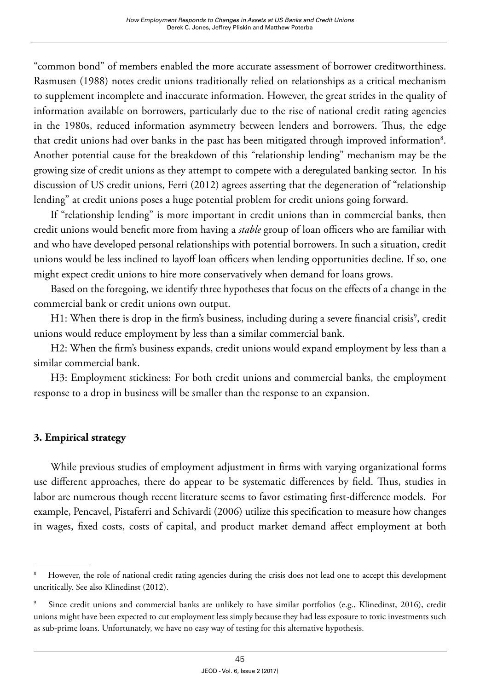"common bond" of members enabled the more accurate assessment of borrower creditworthiness. Rasmusen (1988) notes credit unions traditionally relied on relationships as a critical mechanism to supplement incomplete and inaccurate information. However, the great strides in the quality of information available on borrowers, particularly due to the rise of national credit rating agencies in the 1980s, reduced information asymmetry between lenders and borrowers. Thus, the edge that credit unions had over banks in the past has been mitigated through improved information<sup>8</sup>. Another potential cause for the breakdown of this "relationship lending" mechanism may be the growing size of credit unions as they attempt to compete with a deregulated banking sector. In his discussion of US credit unions, Ferri (2012) agrees asserting that the degeneration of "relationship lending" at credit unions poses a huge potential problem for credit unions going forward.

If "relationship lending" is more important in credit unions than in commercial banks, then credit unions would benefit more from having a *stable* group of loan officers who are familiar with and who have developed personal relationships with potential borrowers. In such a situation, credit unions would be less inclined to layoff loan officers when lending opportunities decline. If so, one might expect credit unions to hire more conservatively when demand for loans grows.

Based on the foregoing, we identify three hypotheses that focus on the effects of a change in the commercial bank or credit unions own output.

H1: When there is drop in the firm's business, including during a severe financial crisis<sup>9</sup>, credit unions would reduce employment by less than a similar commercial bank.

H2: When the firm's business expands, credit unions would expand employment by less than a similar commercial bank.

H3: Employment stickiness: For both credit unions and commercial banks, the employment response to a drop in business will be smaller than the response to an expansion.

# **3. Empirical strategy**

While previous studies of employment adjustment in firms with varying organizational forms use different approaches, there do appear to be systematic differences by field. Thus, studies in labor are numerous though recent literature seems to favor estimating first-difference models. For example, Pencavel, Pistaferri and Schivardi (2006) utilize this specification to measure how changes in wages, fixed costs, costs of capital, and product market demand affect employment at both

However, the role of national credit rating agencies during the crisis does not lead one to accept this development uncritically. See also Klinedinst (2012).

<sup>9</sup> Since credit unions and commercial banks are unlikely to have similar portfolios (e.g., Klinedinst, 2016), credit unions might have been expected to cut employment less simply because they had less exposure to toxic investments such as sub-prime loans. Unfortunately, we have no easy way of testing for this alternative hypothesis.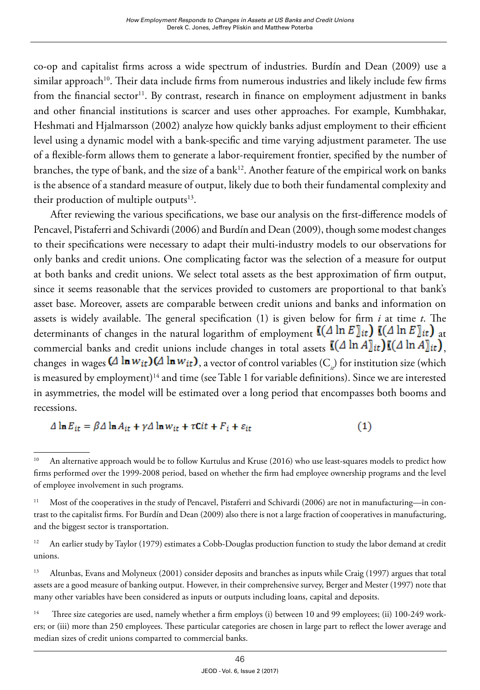co-op and capitalist firms across a wide spectrum of industries. Burdín and Dean (2009) use a similar approach<sup>10</sup>. Their data include firms from numerous industries and likely include few firms from the financial sector<sup>11</sup>. By contrast, research in finance on employment adjustment in banks and other financial institutions is scarcer and uses other approaches. For example, Kumbhakar, Heshmati and Hjalmarsson (2002) analyze how quickly banks adjust employment to their efficient level using a dynamic model with a bank-specific and time varying adjustment parameter. The use of a flexible-form allows them to generate a labor-requirement frontier, specified by the number of branches, the type of bank, and the size of a bank<sup>12</sup>. Another feature of the empirical work on banks is the absence of a standard measure of output, likely due to both their fundamental complexity and their production of multiple outputs $13$ .

After reviewing the various specifications, we base our analysis on the first-difference models of Pencavel, Pistaferri and Schivardi (2006) and Burdín and Dean (2009), though some modest changes to their specifications were necessary to adapt their multi-industry models to our observations for only banks and credit unions. One complicating factor was the selection of a measure for output at both banks and credit unions. We select total assets as the best approximation of firm output, since it seems reasonable that the services provided to customers are proportional to that bank's asset base. Moreover, assets are comparable between credit unions and banks and information on assets is widely available. The general specification (1) is given below for firm *i* at time *t*. The determinants of changes in the natural logarithm of employment  $\mathbb{I}(\Delta \ln E)_{it}$   $\mathbb{I}(\Delta \ln E)_{it}$  at commercial banks and credit unions include changes in total assets  $\lll (\Delta \ln A)_{it}$ ) $\lll (\Delta \ln A)_{it}$ changes in wages  $(A \ln w_{it}) (A \ln w_{it})$ , a vector of control variables  $(C_i)$  for institution size (which is measured by employment)<sup>14</sup> and time (see Table 1 for variable definitions). Since we are interested in asymmetries, the model will be estimated over a long period that encompasses both booms and recessions.

 $\Delta \ln E_{it} = \beta \Delta \ln A_{it} + \gamma \Delta \ln w_{it} + \tau \text{C}it + F_i + \varepsilon_{it}$  $(1)$ 

<sup>&</sup>lt;sup>10</sup> An alternative approach would be to follow Kurtulus and Kruse (2016) who use least-squares models to predict how firms performed over the 1999-2008 period, based on whether the firm had employee ownership programs and the level of employee involvement in such programs.

<sup>&</sup>lt;sup>11</sup> Most of the cooperatives in the study of Pencavel, Pistaferri and Schivardi (2006) are not in manufacturing—in contrast to the capitalist firms. For Burdín and Dean (2009) also there is not a large fraction of cooperatives in manufacturing, and the biggest sector is transportation.

<sup>&</sup>lt;sup>12</sup> An earlier study by Taylor (1979) estimates a Cobb-Douglas production function to study the labor demand at credit unions.

<sup>&</sup>lt;sup>13</sup> Altunbas, Evans and Molyneux (2001) consider deposits and branches as inputs while Craig (1997) argues that total assets are a good measure of banking output. However, in their comprehensive survey, Berger and Mester (1997) note that many other variables have been considered as inputs or outputs including loans, capital and deposits.

<sup>&</sup>lt;sup>14</sup> Three size categories are used, namely whether a firm employs (i) between 10 and 99 employees; (ii) 100-249 workers; or (iii) more than 250 employees. These particular categories are chosen in large part to reflect the lower average and median sizes of credit unions comparted to commercial banks.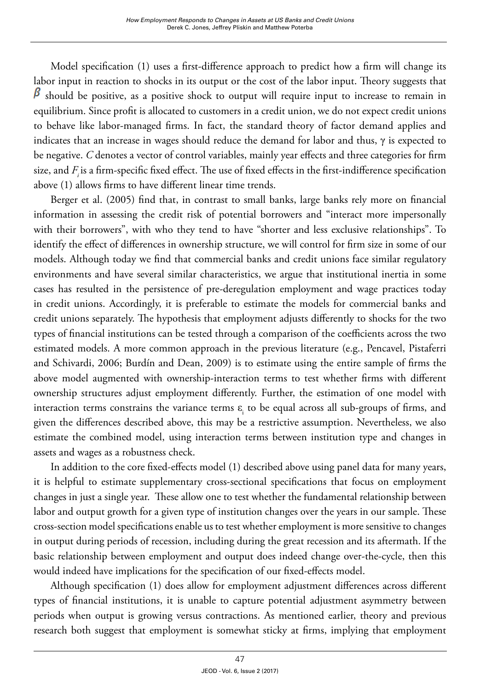Model specification (1) uses a first-difference approach to predict how a firm will change its labor input in reaction to shocks in its output or the cost of the labor input. Theory suggests that  $\beta$  should be positive, as a positive shock to output will require input to increase to remain in equilibrium. Since profit is allocated to customers in a credit union, we do not expect credit unions to behave like labor-managed firms. In fact, the standard theory of factor demand applies and indicates that an increase in wages should reduce the demand for labor and thus,  $\gamma$  is expected to be negative. *C* denotes a vector of control variables, mainly year effects and three categories for firm size, and *F<sub>i</sub>* is a firm-specific fixed effect. The use of fixed effects in the first-indifference specification above (1) allows firms to have different linear time trends.

Berger et al. (2005) find that, in contrast to small banks, large banks rely more on financial information in assessing the credit risk of potential borrowers and "interact more impersonally with their borrowers", with who they tend to have "shorter and less exclusive relationships". To identify the effect of differences in ownership structure, we will control for firm size in some of our models. Although today we find that commercial banks and credit unions face similar regulatory environments and have several similar characteristics, we argue that institutional inertia in some cases has resulted in the persistence of pre-deregulation employment and wage practices today in credit unions. Accordingly, it is preferable to estimate the models for commercial banks and credit unions separately. The hypothesis that employment adjusts differently to shocks for the two types of financial institutions can be tested through a comparison of the coefficients across the two estimated models. A more common approach in the previous literature (e.g., Pencavel, Pistaferri and Schivardi, 2006; Burdín and Dean, 2009) is to estimate using the entire sample of firms the above model augmented with ownership-interaction terms to test whether firms with different ownership structures adjust employment differently. Further, the estimation of one model with interaction terms constrains the variance terms  $\varepsilon$ <sub>i</sub> to be equal across all sub-groups of firms, and given the differences described above, this may be a restrictive assumption. Nevertheless, we also estimate the combined model, using interaction terms between institution type and changes in assets and wages as a robustness check.

In addition to the core fixed-effects model (1) described above using panel data for many years, it is helpful to estimate supplementary cross-sectional specifications that focus on employment changes in just a single year. These allow one to test whether the fundamental relationship between labor and output growth for a given type of institution changes over the years in our sample. These cross-section model specifications enable us to test whether employment is more sensitive to changes in output during periods of recession, including during the great recession and its aftermath. If the basic relationship between employment and output does indeed change over-the-cycle, then this would indeed have implications for the specification of our fixed-effects model.

Although specification (1) does allow for employment adjustment differences across different types of financial institutions, it is unable to capture potential adjustment asymmetry between periods when output is growing versus contractions. As mentioned earlier, theory and previous research both suggest that employment is somewhat sticky at firms, implying that employment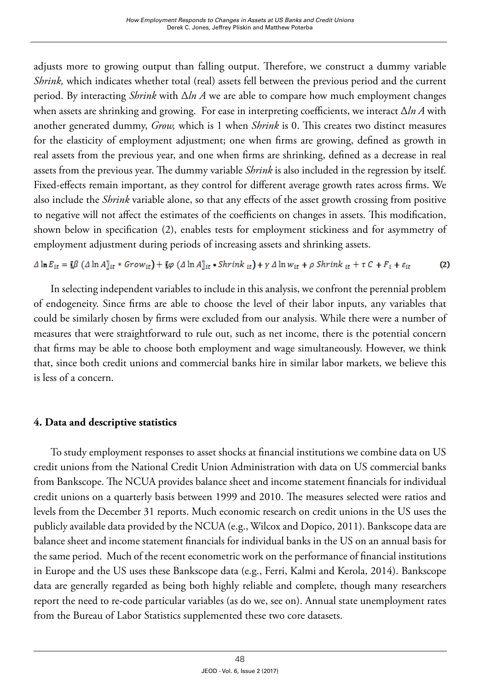adjusts more to growing output than falling output. Therefore, we construct a dummy variable *Shrink,* which indicates whether total (real) assets fell between the previous period and the current period. By interacting *Shrink* with Δ*ln A* we are able to compare how much employment changes when assets are shrinking and growing. For ease in interpreting coefficients, we interact Δ*ln A* with another generated dummy, *Grow,* which is 1 when *Shrink* is 0. This creates two distinct measures for the elasticity of employment adjustment; one when firms are growing, defined as growth in real assets from the previous year, and one when firms are shrinking, defined as a decrease in real assets from the previous year. The dummy variable *Shrink* is also included in the regression by itself. Fixed-effects remain important, as they control for different average growth rates across firms. We also include the *Shrink* variable alone, so that any effects of the asset growth crossing from positive to negative will not affect the estimates of the coefficients on changes in assets. This modification, shown below in specification (2), enables tests for employment stickiness and for asymmetry of employment adjustment during periods of increasing assets and shrinking assets.

 $\Delta \ln E_{it} = \llbracket \beta \left( \Delta \ln A \rrbracket_{it} * \textit{Grow}_{it} \right) + \llbracket \varphi \left( \Delta \ln A \rrbracket_{it} * \textit{Shrink}_{it} \right) + \gamma \Delta \ln w_{it} + \rho \textit{Shrink}_{it} + \tau \, C + F_i + \varepsilon_{it}$  $(2)$ 

In selecting independent variables to include in this analysis, we confront the perennial problem of endogeneity. Since firms are able to choose the level of their labor inputs, any variables that could be similarly chosen by firms were excluded from our analysis. While there were a number of measures that were straightforward to rule out, such as net income, there is the potential concern that firms may be able to choose both employment and wage simultaneously. However, we think that, since both credit unions and commercial banks hire in similar labor markets, we believe this is less of a concern.

# **4. Data and descriptive statistics**

To study employment responses to asset shocks at financial institutions we combine data on US credit unions from the National Credit Union Administration with data on US commercial banks from Bankscope. The NCUA provides balance sheet and income statement financials for individual credit unions on a quarterly basis between 1999 and 2010. The measures selected were ratios and levels from the December 31 reports. Much economic research on credit unions in the US uses the publicly available data provided by the NCUA (e.g., Wilcox and Dopico, 2011). Bankscope data are balance sheet and income statement financials for individual banks in the US on an annual basis for the same period. Much of the recent econometric work on the performance of financial institutions in Europe and the US uses these Bankscope data (e.g., Ferri, Kalmi and Kerola, 2014). Bankscope data are generally regarded as being both highly reliable and complete, though many researchers report the need to re-code particular variables (as do we, see on). Annual state unemployment rates from the Bureau of Labor Statistics supplemented these two core datasets.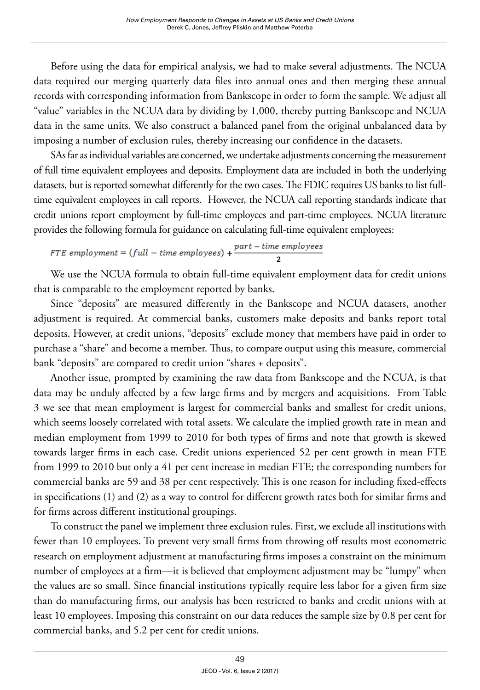Before using the data for empirical analysis, we had to make several adjustments. The NCUA data required our merging quarterly data files into annual ones and then merging these annual records with corresponding information from Bankscope in order to form the sample. We adjust all "value" variables in the NCUA data by dividing by 1,000, thereby putting Bankscope and NCUA data in the same units. We also construct a balanced panel from the original unbalanced data by imposing a number of exclusion rules, thereby increasing our confidence in the datasets.

SAs far as individual variables are concerned, we undertake adjustments concerning the measurement of full time equivalent employees and deposits. Employment data are included in both the underlying datasets, but is reported somewhat differently for the two cases. The FDIC requires US banks to list fulltime equivalent employees in call reports. However, the NCUA call reporting standards indicate that credit unions report employment by full-time employees and part-time employees. NCUA literature provides the following formula for guidance on calculating full-time equivalent employees:

FTE employment =  $(full - time$  employees) +  $\frac{part - time$  employees

We use the NCUA formula to obtain full-time equivalent employment data for credit unions that is comparable to the employment reported by banks.

Since "deposits" are measured differently in the Bankscope and NCUA datasets, another adjustment is required. At commercial banks, customers make deposits and banks report total deposits. However, at credit unions, "deposits" exclude money that members have paid in order to purchase a "share" and become a member. Thus, to compare output using this measure, commercial bank "deposits" are compared to credit union "shares + deposits".

Another issue, prompted by examining the raw data from Bankscope and the NCUA, is that data may be unduly affected by a few large firms and by mergers and acquisitions. From Table 3 we see that mean employment is largest for commercial banks and smallest for credit unions, which seems loosely correlated with total assets. We calculate the implied growth rate in mean and median employment from 1999 to 2010 for both types of firms and note that growth is skewed towards larger firms in each case. Credit unions experienced 52 per cent growth in mean FTE from 1999 to 2010 but only a 41 per cent increase in median FTE; the corresponding numbers for commercial banks are 59 and 38 per cent respectively. This is one reason for including fixed-effects in specifications (1) and (2) as a way to control for different growth rates both for similar firms and for firms across different institutional groupings.

To construct the panel we implement three exclusion rules. First, we exclude all institutions with fewer than 10 employees. To prevent very small firms from throwing off results most econometric research on employment adjustment at manufacturing firms imposes a constraint on the minimum number of employees at a firm—it is believed that employment adjustment may be "lumpy" when the values are so small. Since financial institutions typically require less labor for a given firm size than do manufacturing firms, our analysis has been restricted to banks and credit unions with at least 10 employees. Imposing this constraint on our data reduces the sample size by 0.8 per cent for commercial banks, and 5.2 per cent for credit unions.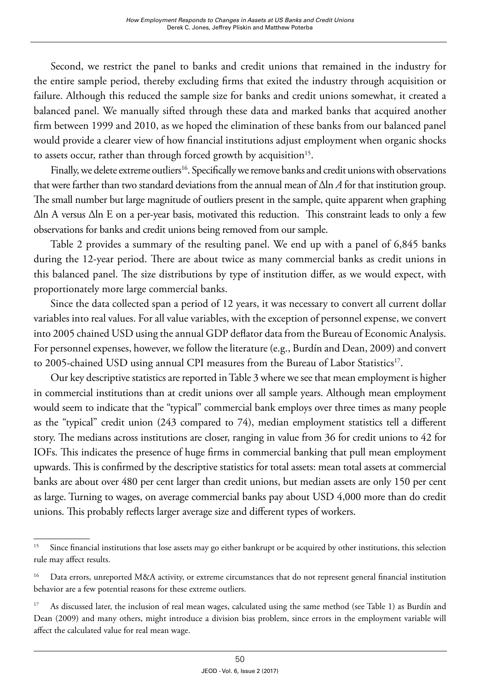Second, we restrict the panel to banks and credit unions that remained in the industry for the entire sample period, thereby excluding firms that exited the industry through acquisition or failure. Although this reduced the sample size for banks and credit unions somewhat, it created a balanced panel. We manually sifted through these data and marked banks that acquired another firm between 1999 and 2010, as we hoped the elimination of these banks from our balanced panel would provide a clearer view of how financial institutions adjust employment when organic shocks to assets occur, rather than through forced growth by acquisition<sup>15</sup>.

Finally, we delete extreme outliers<sup>16</sup>. Specifically we remove banks and credit unions with observations that were farther than two standard deviations from the annual mean of ∆ln *A* for that institution group. The small number but large magnitude of outliers present in the sample, quite apparent when graphing ∆ln A versus ∆ln E on a per-year basis, motivated this reduction. This constraint leads to only a few observations for banks and credit unions being removed from our sample.

Table 2 provides a summary of the resulting panel. We end up with a panel of 6,845 banks during the 12-year period. There are about twice as many commercial banks as credit unions in this balanced panel. The size distributions by type of institution differ, as we would expect, with proportionately more large commercial banks.

Since the data collected span a period of 12 years, it was necessary to convert all current dollar variables into real values. For all value variables, with the exception of personnel expense, we convert into 2005 chained USD using the annual GDP deflator data from the Bureau of Economic Analysis. For personnel expenses, however, we follow the literature (e.g., Burdín and Dean, 2009) and convert to 2005-chained USD using annual CPI measures from the Bureau of Labor Statistics<sup>17</sup>.

Our key descriptive statistics are reported in Table 3 where we see that mean employment is higher in commercial institutions than at credit unions over all sample years. Although mean employment would seem to indicate that the "typical" commercial bank employs over three times as many people as the "typical" credit union (243 compared to 74), median employment statistics tell a different story. The medians across institutions are closer, ranging in value from 36 for credit unions to 42 for IOFs. This indicates the presence of huge firms in commercial banking that pull mean employment upwards. This is confirmed by the descriptive statistics for total assets: mean total assets at commercial banks are about over 480 per cent larger than credit unions, but median assets are only 150 per cent as large. Turning to wages, on average commercial banks pay about USD 4,000 more than do credit unions. This probably reflects larger average size and different types of workers.

<sup>&</sup>lt;sup>15</sup> Since financial institutions that lose assets may go either bankrupt or be acquired by other institutions, this selection rule may affect results.

<sup>&</sup>lt;sup>16</sup> Data errors, unreported M&A activity, or extreme circumstances that do not represent general financial institution behavior are a few potential reasons for these extreme outliers.

<sup>&</sup>lt;sup>17</sup> As discussed later, the inclusion of real mean wages, calculated using the same method (see Table 1) as Burdín and Dean (2009) and many others, might introduce a division bias problem, since errors in the employment variable will affect the calculated value for real mean wage.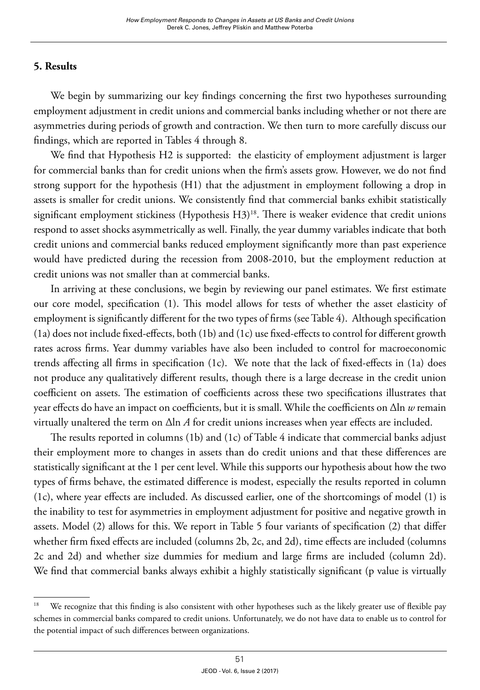# **5. Results**

We begin by summarizing our key findings concerning the first two hypotheses surrounding employment adjustment in credit unions and commercial banks including whether or not there are asymmetries during periods of growth and contraction. We then turn to more carefully discuss our findings, which are reported in Tables 4 through 8.

We find that Hypothesis H2 is supported: the elasticity of employment adjustment is larger for commercial banks than for credit unions when the firm's assets grow. However, we do not find strong support for the hypothesis (H1) that the adjustment in employment following a drop in assets is smaller for credit unions. We consistently find that commercial banks exhibit statistically significant employment stickiness (Hypothesis H3)<sup>18</sup>. There is weaker evidence that credit unions respond to asset shocks asymmetrically as well. Finally, the year dummy variables indicate that both credit unions and commercial banks reduced employment significantly more than past experience would have predicted during the recession from 2008-2010, but the employment reduction at credit unions was not smaller than at commercial banks.

In arriving at these conclusions, we begin by reviewing our panel estimates. We first estimate our core model, specification (1). This model allows for tests of whether the asset elasticity of employment is significantly different for the two types of firms (see Table 4). Although specification (1a) does not include fixed-effects, both (1b) and (1c) use fixed-effects to control for different growth rates across firms. Year dummy variables have also been included to control for macroeconomic trends affecting all firms in specification (1c). We note that the lack of fixed-effects in (1a) does not produce any qualitatively different results, though there is a large decrease in the credit union coefficient on assets. The estimation of coefficients across these two specifications illustrates that year effects do have an impact on coefficients, but it is small. While the coefficients on Δln *w* remain virtually unaltered the term on Δln *A* for credit unions increases when year effects are included.

The results reported in columns (1b) and (1c) of Table 4 indicate that commercial banks adjust their employment more to changes in assets than do credit unions and that these differences are statistically significant at the 1 per cent level. While this supports our hypothesis about how the two types of firms behave, the estimated difference is modest, especially the results reported in column (1c), where year effects are included. As discussed earlier, one of the shortcomings of model (1) is the inability to test for asymmetries in employment adjustment for positive and negative growth in assets. Model (2) allows for this. We report in Table 5 four variants of specification (2) that differ whether firm fixed effects are included (columns 2b, 2c, and 2d), time effects are included (columns 2c and 2d) and whether size dummies for medium and large firms are included (column 2d). We find that commercial banks always exhibit a highly statistically significant (p value is virtually

<sup>&</sup>lt;sup>18</sup> We recognize that this finding is also consistent with other hypotheses such as the likely greater use of flexible pay schemes in commercial banks compared to credit unions. Unfortunately, we do not have data to enable us to control for the potential impact of such differences between organizations.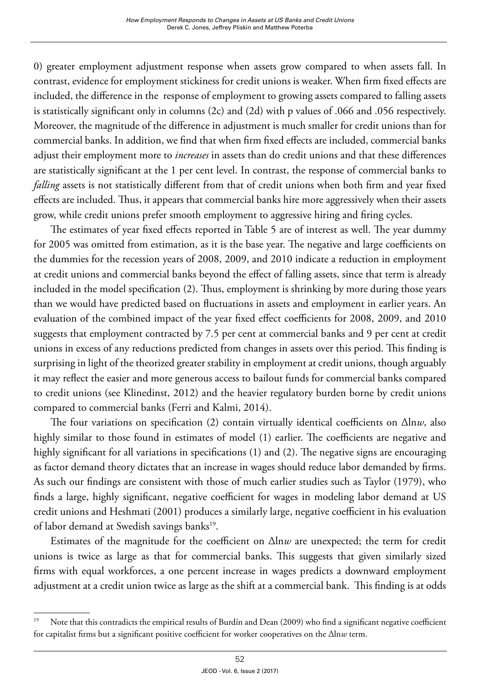0) greater employment adjustment response when assets grow compared to when assets fall. In contrast, evidence for employment stickiness for credit unions is weaker. When firm fixed effects are included, the difference in the response of employment to growing assets compared to falling assets is statistically significant only in columns (2c) and (2d) with p values of .066 and .056 respectively. Moreover, the magnitude of the difference in adjustment is much smaller for credit unions than for commercial banks. In addition, we find that when firm fixed effects are included, commercial banks adjust their employment more to *increases* in assets than do credit unions and that these differences are statistically significant at the 1 per cent level. In contrast, the response of commercial banks to *falling* assets is not statistically different from that of credit unions when both firm and year fixed effects are included. Thus, it appears that commercial banks hire more aggressively when their assets grow, while credit unions prefer smooth employment to aggressive hiring and firing cycles.

The estimates of year fixed effects reported in Table 5 are of interest as well. The year dummy for 2005 was omitted from estimation, as it is the base year. The negative and large coefficients on the dummies for the recession years of 2008, 2009, and 2010 indicate a reduction in employment at credit unions and commercial banks beyond the effect of falling assets, since that term is already included in the model specification (2). Thus, employment is shrinking by more during those years than we would have predicted based on fluctuations in assets and employment in earlier years. An evaluation of the combined impact of the year fixed effect coefficients for 2008, 2009, and 2010 suggests that employment contracted by 7.5 per cent at commercial banks and 9 per cent at credit unions in excess of any reductions predicted from changes in assets over this period. This finding is surprising in light of the theorized greater stability in employment at credit unions, though arguably it may reflect the easier and more generous access to bailout funds for commercial banks compared to credit unions (see Klinedinst, 2012) and the heavier regulatory burden borne by credit unions compared to commercial banks (Ferri and Kalmi, 2014).

The four variations on specification (2) contain virtually identical coefficients on Δln*w*, also highly similar to those found in estimates of model (1) earlier. The coefficients are negative and highly significant for all variations in specifications (1) and (2). The negative signs are encouraging as factor demand theory dictates that an increase in wages should reduce labor demanded by firms. As such our findings are consistent with those of much earlier studies such as Taylor (1979), who finds a large, highly significant, negative coefficient for wages in modeling labor demand at US credit unions and Heshmati (2001) produces a similarly large, negative coefficient in his evaluation of labor demand at Swedish savings banks<sup>19</sup>.

Estimates of the magnitude for the coefficient on Δln*w* are unexpected; the term for credit unions is twice as large as that for commercial banks. This suggests that given similarly sized firms with equal workforces, a one percent increase in wages predicts a downward employment adjustment at a credit union twice as large as the shift at a commercial bank. This finding is at odds

Note that this contradicts the empirical results of Burdín and Dean (2009) who find a significant negative coefficient for capitalist firms but a significant positive coefficient for worker cooperatives on the Δln*w* term.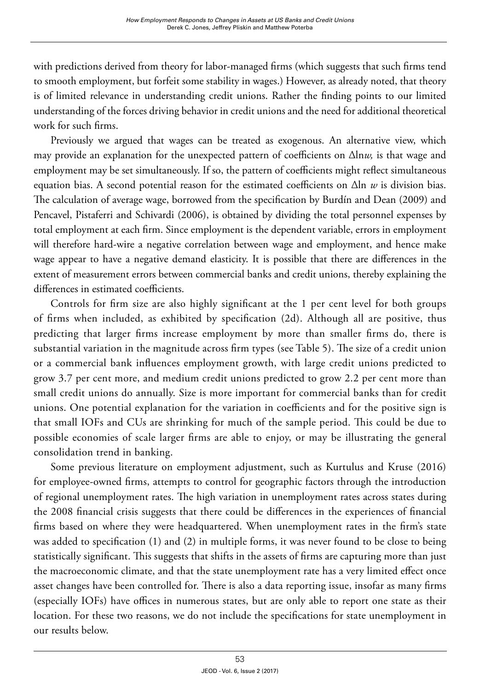with predictions derived from theory for labor-managed firms (which suggests that such firms tend to smooth employment, but forfeit some stability in wages.) However, as already noted, that theory is of limited relevance in understanding credit unions. Rather the finding points to our limited understanding of the forces driving behavior in credit unions and the need for additional theoretical work for such firms.

Previously we argued that wages can be treated as exogenous. An alternative view, which may provide an explanation for the unexpected pattern of coefficients on Δln*w,* is that wage and employment may be set simultaneously. If so, the pattern of coefficients might reflect simultaneous equation bias. A second potential reason for the estimated coefficients on Δln *w* is division bias. The calculation of average wage, borrowed from the specification by Burdín and Dean (2009) and Pencavel, Pistaferri and Schivardi (2006), is obtained by dividing the total personnel expenses by total employment at each firm. Since employment is the dependent variable, errors in employment will therefore hard-wire a negative correlation between wage and employment, and hence make wage appear to have a negative demand elasticity. It is possible that there are differences in the extent of measurement errors between commercial banks and credit unions, thereby explaining the differences in estimated coefficients.

Controls for firm size are also highly significant at the 1 per cent level for both groups of firms when included, as exhibited by specification (2d). Although all are positive, thus predicting that larger firms increase employment by more than smaller firms do, there is substantial variation in the magnitude across firm types (see Table 5). The size of a credit union or a commercial bank influences employment growth, with large credit unions predicted to grow 3.7 per cent more, and medium credit unions predicted to grow 2.2 per cent more than small credit unions do annually. Size is more important for commercial banks than for credit unions. One potential explanation for the variation in coefficients and for the positive sign is that small IOFs and CUs are shrinking for much of the sample period. This could be due to possible economies of scale larger firms are able to enjoy, or may be illustrating the general consolidation trend in banking.

Some previous literature on employment adjustment, such as Kurtulus and Kruse (2016) for employee-owned firms, attempts to control for geographic factors through the introduction of regional unemployment rates. The high variation in unemployment rates across states during the 2008 financial crisis suggests that there could be differences in the experiences of financial firms based on where they were headquartered. When unemployment rates in the firm's state was added to specification (1) and (2) in multiple forms, it was never found to be close to being statistically significant. This suggests that shifts in the assets of firms are capturing more than just the macroeconomic climate, and that the state unemployment rate has a very limited effect once asset changes have been controlled for. There is also a data reporting issue, insofar as many firms (especially IOFs) have offices in numerous states, but are only able to report one state as their location. For these two reasons, we do not include the specifications for state unemployment in our results below.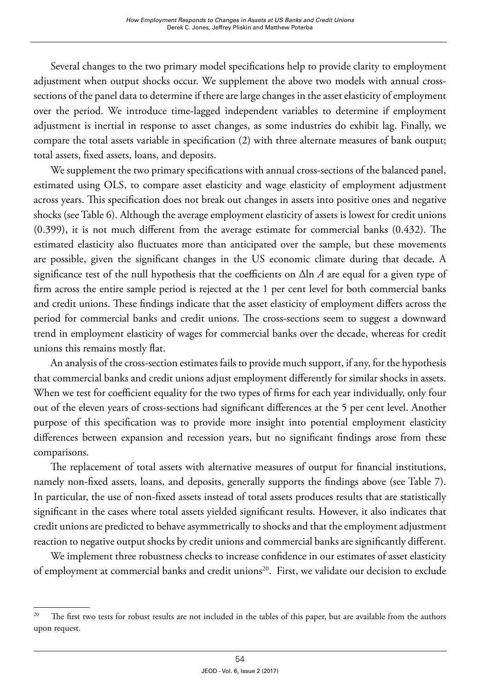Several changes to the two primary model specifications help to provide clarity to employment adjustment when output shocks occur. We supplement the above two models with annual crosssections of the panel data to determine if there are large changes in the asset elasticity of employment over the period. We introduce time-lagged independent variables to determine if employment adjustment is inertial in response to asset changes, as some industries do exhibit lag. Finally, we compare the total assets variable in specification (2) with three alternate measures of bank output; total assets, fixed assets, loans, and deposits.

We supplement the two primary specifications with annual cross-sections of the balanced panel, estimated using OLS, to compare asset elasticity and wage elasticity of employment adjustment across years. This specification does not break out changes in assets into positive ones and negative shocks (see Table 6). Although the average employment elasticity of assets is lowest for credit unions (0.399), it is not much different from the average estimate for commercial banks (0.432). The estimated elasticity also fluctuates more than anticipated over the sample, but these movements are possible, given the significant changes in the US economic climate during that decade. A significance test of the null hypothesis that the coefficients on Δln *A* are equal for a given type of firm across the entire sample period is rejected at the 1 per cent level for both commercial banks and credit unions. These findings indicate that the asset elasticity of employment differs across the period for commercial banks and credit unions. The cross-sections seem to suggest a downward trend in employment elasticity of wages for commercial banks over the decade, whereas for credit unions this remains mostly flat.

An analysis of the cross-section estimates fails to provide much support, if any, for the hypothesis that commercial banks and credit unions adjust employment differently for similar shocks in assets. When we test for coefficient equality for the two types of firms for each year individually, only four out of the eleven years of cross-sections had significant differences at the 5 per cent level. Another purpose of this specification was to provide more insight into potential employment elasticity differences between expansion and recession years, but no significant findings arose from these comparisons.

The replacement of total assets with alternative measures of output for financial institutions, namely non-fixed assets, loans, and deposits, generally supports the findings above (see Table 7). In particular, the use of non-fixed assets instead of total assets produces results that are statistically significant in the cases where total assets yielded significant results. However, it also indicates that credit unions are predicted to behave asymmetrically to shocks and that the employment adjustment reaction to negative output shocks by credit unions and commercial banks are significantly different.

We implement three robustness checks to increase confidence in our estimates of asset elasticity of employment at commercial banks and credit unions<sup>20</sup>. First, we validate our decision to exclude

<sup>&</sup>lt;sup>20</sup> The first two tests for robust results are not included in the tables of this paper, but are available from the authors upon request.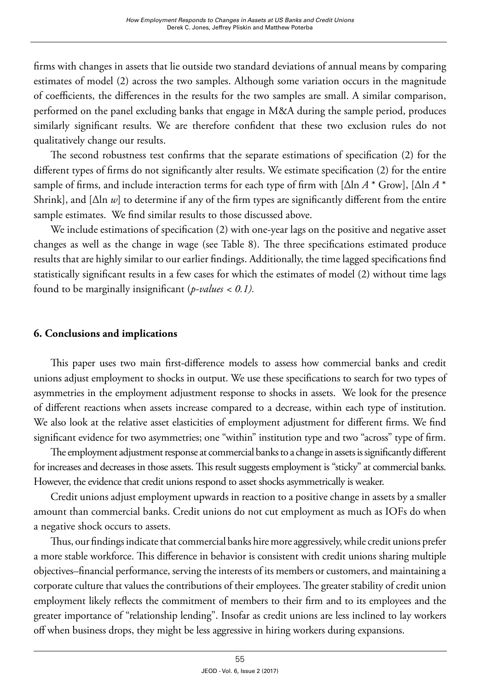firms with changes in assets that lie outside two standard deviations of annual means by comparing estimates of model (2) across the two samples. Although some variation occurs in the magnitude of coefficients, the differences in the results for the two samples are small. A similar comparison, performed on the panel excluding banks that engage in M&A during the sample period, produces similarly significant results. We are therefore confident that these two exclusion rules do not qualitatively change our results.

The second robustness test confirms that the separate estimations of specification (2) for the different types of firms do not significantly alter results. We estimate specification (2) for the entire sample of firms, and include interaction terms for each type of firm with [Δln *A* \* Grow], [Δln *A* \* Shrink], and [Δln *w*] to determine if any of the firm types are significantly different from the entire sample estimates. We find similar results to those discussed above.

We include estimations of specification (2) with one-year lags on the positive and negative asset changes as well as the change in wage (see Table 8). The three specifications estimated produce results that are highly similar to our earlier findings. Additionally, the time lagged specifications find statistically significant results in a few cases for which the estimates of model (2) without time lags found to be marginally insignificant (*p-values < 0.1).* 

# **6. Conclusions and implications**

This paper uses two main first-difference models to assess how commercial banks and credit unions adjust employment to shocks in output. We use these specifications to search for two types of asymmetries in the employment adjustment response to shocks in assets. We look for the presence of different reactions when assets increase compared to a decrease, within each type of institution. We also look at the relative asset elasticities of employment adjustment for different firms. We find significant evidence for two asymmetries; one "within" institution type and two "across" type of firm.

The employment adjustment response at commercial banks to a change in assets is significantly different for increases and decreases in those assets. This result suggests employment is "sticky" at commercial banks. However, the evidence that credit unions respond to asset shocks asymmetrically is weaker.

Credit unions adjust employment upwards in reaction to a positive change in assets by a smaller amount than commercial banks. Credit unions do not cut employment as much as IOFs do when a negative shock occurs to assets.

Thus, our findings indicate that commercial banks hire more aggressively, while credit unions prefer a more stable workforce. This difference in behavior is consistent with credit unions sharing multiple objectives–financial performance, serving the interests of its members or customers, and maintaining a corporate culture that values the contributions of their employees. The greater stability of credit union employment likely reflects the commitment of members to their firm and to its employees and the greater importance of "relationship lending". Insofar as credit unions are less inclined to lay workers off when business drops, they might be less aggressive in hiring workers during expansions.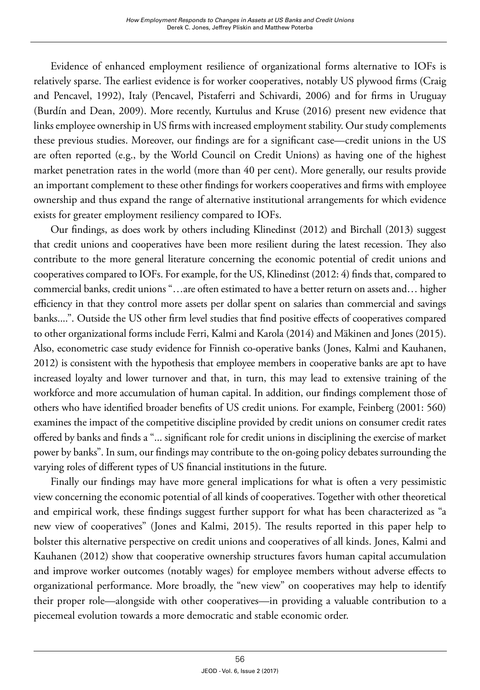Evidence of enhanced employment resilience of organizational forms alternative to IOFs is relatively sparse. The earliest evidence is for worker cooperatives, notably US plywood firms (Craig and Pencavel, 1992), Italy (Pencavel, Pistaferri and Schivardi, 2006) and for firms in Uruguay (Burdín and Dean, 2009). More recently, Kurtulus and Kruse (2016) present new evidence that links employee ownership in US firms with increased employment stability. Our study complements these previous studies. Moreover, our findings are for a significant case—credit unions in the US are often reported (e.g., by the World Council on Credit Unions) as having one of the highest market penetration rates in the world (more than 40 per cent). More generally, our results provide an important complement to these other findings for workers cooperatives and firms with employee ownership and thus expand the range of alternative institutional arrangements for which evidence exists for greater employment resiliency compared to IOFs.

Our findings, as does work by others including Klinedinst (2012) and Birchall (2013) suggest that credit unions and cooperatives have been more resilient during the latest recession. They also contribute to the more general literature concerning the economic potential of credit unions and cooperatives compared to IOFs. For example, for the US, Klinedinst (2012: 4) finds that, compared to commercial banks, credit unions "…are often estimated to have a better return on assets and… higher efficiency in that they control more assets per dollar spent on salaries than commercial and savings banks....". Outside the US other firm level studies that find positive effects of cooperatives compared to other organizational forms include Ferri, Kalmi and Karola (2014) and Mäkinen and Jones (2015). Also, econometric case study evidence for Finnish co-operative banks (Jones, Kalmi and Kauhanen, 2012) is consistent with the hypothesis that employee members in cooperative banks are apt to have increased loyalty and lower turnover and that, in turn, this may lead to extensive training of the workforce and more accumulation of human capital. In addition, our findings complement those of others who have identified broader benefits of US credit unions. For example, Feinberg (2001: 560) examines the impact of the competitive discipline provided by credit unions on consumer credit rates offered by banks and finds a "... significant role for credit unions in disciplining the exercise of market power by banks". In sum, our findings may contribute to the on-going policy debates surrounding the varying roles of different types of US financial institutions in the future.

Finally our findings may have more general implications for what is often a very pessimistic view concerning the economic potential of all kinds of cooperatives. Together with other theoretical and empirical work, these findings suggest further support for what has been characterized as "a new view of cooperatives" (Jones and Kalmi, 2015). The results reported in this paper help to bolster this alternative perspective on credit unions and cooperatives of all kinds. Jones, Kalmi and Kauhanen (2012) show that cooperative ownership structures favors human capital accumulation and improve worker outcomes (notably wages) for employee members without adverse effects to organizational performance. More broadly, the "new view" on cooperatives may help to identify their proper role—alongside with other cooperatives—in providing a valuable contribution to a piecemeal evolution towards a more democratic and stable economic order.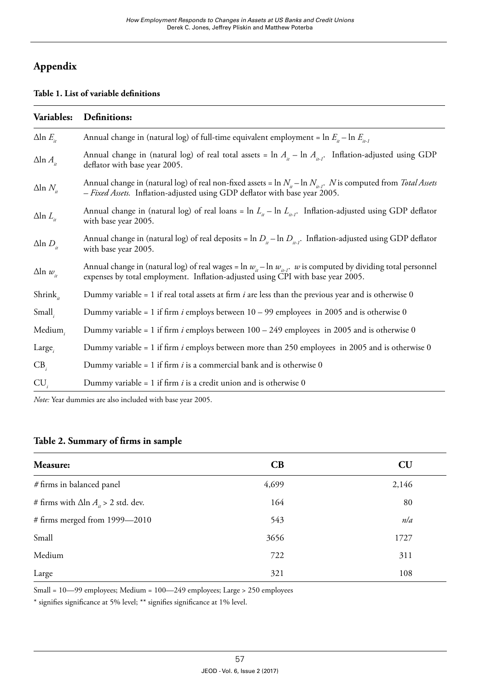# **Appendix**

#### **Table 1. List of variable definitions**

| Variables:            | Definitions:                                                                                                                                                                                                 |
|-----------------------|--------------------------------------------------------------------------------------------------------------------------------------------------------------------------------------------------------------|
| $\Delta$ ln $E_{\mu}$ | Annual change in (natural log) of full-time equivalent employment = $\ln E_{\mu} - \ln E_{\mu}$                                                                                                              |
| $\Delta$ ln $A_{ii}$  | Annual change in (natural log) of real total assets = $\ln A_{i}$ – $\ln A_{i}$ . Inflation-adjusted using GDP<br>deflator with base year 2005.                                                              |
| $\Delta$ ln $N_{\mu}$ | Annual change in (natural log) of real non-fixed assets = $\ln N_{in}$ – $\ln N_{in}$ . N is computed from <i>Total Assets</i><br>- Fixed Assets. Inflation-adjusted using GDP deflator with base year 2005. |
| $\Delta$ ln $L_{\mu}$ | Annual change in (natural log) of real loans = $\ln L_{\mu} - \ln L_{\mu}$ . Inflation-adjusted using GDP deflator<br>with base year 2005.                                                                   |
| $\Delta$ ln $D_{ii}$  | Annual change in (natural log) of real deposits = $\ln D_{\mu}$ – $\ln D_{\mu}$ . Inflation-adjusted using GDP deflator<br>with base year 2005.                                                              |
| $\Delta$ ln $w_{i}$   | Annual change in (natural log) of real wages = $\ln w_{in}$ – $\ln w_{in}$ . w is computed by dividing total personnel<br>expenses by total employment. Inflation-adjusted using CPI with base year 2005.    |
| Shrink <sub>it</sub>  | Dummy variable = 1 if real total assets at firm i are less than the previous year and is otherwise 0                                                                                                         |
| Small <sub>i</sub>    | Dummy variable = 1 if firm <i>i</i> employs between $10 - 99$ employees in 2005 and is otherwise 0                                                                                                           |
| Medium,               | Dummy variable = 1 if firm i employs between $100 - 249$ employees in 2005 and is otherwise 0                                                                                                                |
| $Large_i$             | Dummy variable = 1 if firm <i>i</i> employs between more than 250 employees in 2005 and is otherwise 0                                                                                                       |
| CB <sub>i</sub>       | Dummy variable = 1 if firm $i$ is a commercial bank and is otherwise 0                                                                                                                                       |
| $CU_{i}$              | Dummy variable = 1 if firm $i$ is a credit union and is otherwise 0                                                                                                                                          |

*Note:* Year dummies are also included with base year 2005.

## **Table 2. Summary of firms in sample**

| Measure:                                        | CB    | CU    |
|-------------------------------------------------|-------|-------|
| # firms in balanced panel                       | 4,699 | 2,146 |
| # firms with $\Delta$ ln $A_{ii} > 2$ std. dev. | 164   | 80    |
| # firms merged from 1999-2010                   | 543   | nla   |
| Small                                           | 3656  | 1727  |
| Medium                                          | 722   | 311   |
| Large                                           | 321   | 108   |

Small = 10—99 employees; Medium = 100—249 employees; Large > 250 employees

\* signifies significance at 5% level; \*\* signifies significance at 1% level.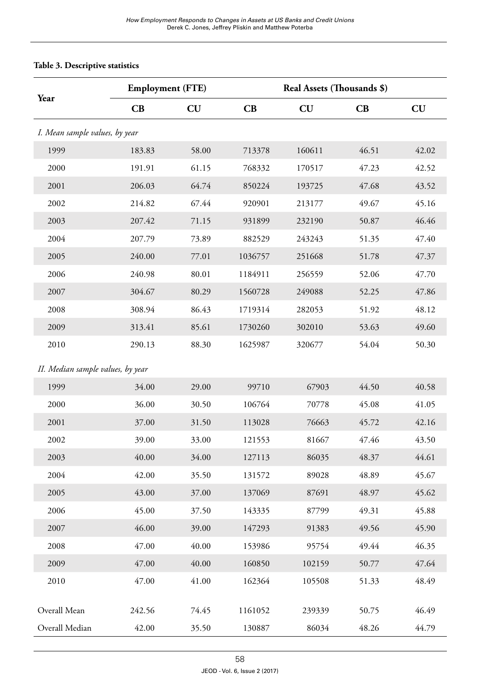### **Table 3. Descriptive statistics**

|                                   | <b>Employment (FTE)</b> |       |         | Real Assets (Thousands \$) |       |       |  |
|-----------------------------------|-------------------------|-------|---------|----------------------------|-------|-------|--|
| Year                              | CB                      | CU    | CB      | CU                         | CB    | CU    |  |
| I. Mean sample values, by year    |                         |       |         |                            |       |       |  |
| 1999                              | 183.83                  | 58.00 | 713378  | 160611                     | 46.51 | 42.02 |  |
| 2000                              | 191.91                  | 61.15 | 768332  | 170517                     | 47.23 | 42.52 |  |
| 2001                              | 206.03                  | 64.74 | 850224  | 193725                     | 47.68 | 43.52 |  |
| 2002                              | 214.82                  | 67.44 | 920901  | 213177                     | 49.67 | 45.16 |  |
| 2003                              | 207.42                  | 71.15 | 931899  | 232190                     | 50.87 | 46.46 |  |
| 2004                              | 207.79                  | 73.89 | 882529  | 243243                     | 51.35 | 47.40 |  |
| 2005                              | 240.00                  | 77.01 | 1036757 | 251668                     | 51.78 | 47.37 |  |
| 2006                              | 240.98                  | 80.01 | 1184911 | 256559                     | 52.06 | 47.70 |  |
| 2007                              | 304.67                  | 80.29 | 1560728 | 249088                     | 52.25 | 47.86 |  |
| 2008                              | 308.94                  | 86.43 | 1719314 | 282053                     | 51.92 | 48.12 |  |
| 2009                              | 313.41                  | 85.61 | 1730260 | 302010                     | 53.63 | 49.60 |  |
| 2010                              | 290.13                  | 88.30 | 1625987 | 320677                     | 54.04 | 50.30 |  |
| II. Median sample values, by year |                         |       |         |                            |       |       |  |
| 1999                              | 34.00                   | 29.00 | 99710   | 67903                      | 44.50 | 40.58 |  |
| 2000                              | 36.00                   | 30.50 | 106764  | 70778                      | 45.08 | 41.05 |  |
| 2001                              | 37.00                   | 31.50 | 113028  | 76663                      | 45.72 | 42.16 |  |
| 2002                              | 39.00                   | 33.00 | 121553  | 81667                      | 47.46 | 43.50 |  |
| 2003                              | 40.00                   | 34.00 | 127113  | 86035                      | 48.37 | 44.61 |  |
| 2004                              | 42.00                   | 35.50 | 131572  | 89028                      | 48.89 | 45.67 |  |
| 2005                              | 43.00                   | 37.00 | 137069  | 87691                      | 48.97 | 45.62 |  |
| 2006                              | 45.00                   | 37.50 | 143335  | 87799                      | 49.31 | 45.88 |  |
| 2007                              | 46.00                   | 39.00 | 147293  | 91383                      | 49.56 | 45.90 |  |
| 2008                              | 47.00                   | 40.00 | 153986  | 95754                      | 49.44 | 46.35 |  |
| 2009                              | 47.00                   | 40.00 | 160850  | 102159                     | 50.77 | 47.64 |  |
| 2010                              | 47.00                   | 41.00 | 162364  | 105508                     | 51.33 | 48.49 |  |
| Overall Mean                      | 242.56                  | 74.45 | 1161052 | 239339                     | 50.75 | 46.49 |  |
| Overall Median                    | 42.00                   | 35.50 | 130887  | 86034                      | 48.26 | 44.79 |  |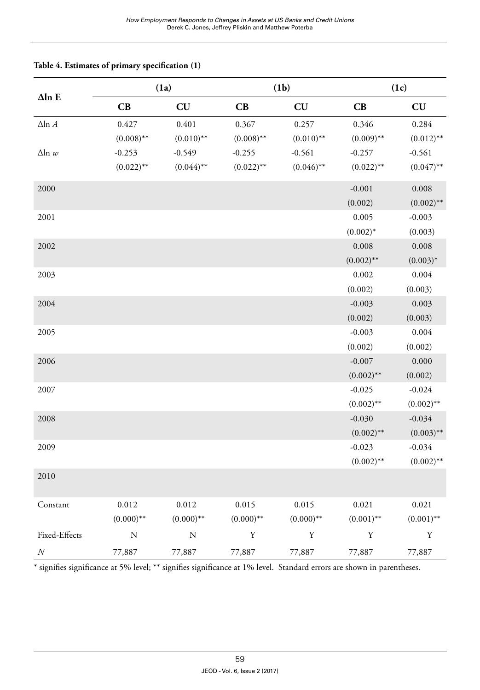|                      |              | (1a)         |              | (1b)         | (1c)         |              |  |
|----------------------|--------------|--------------|--------------|--------------|--------------|--------------|--|
| $\Delta$ ln E        | CB           | CU           | CB           | CU           | CB           | CU           |  |
| $\Delta {\rm ln}\,A$ | 0.427        | 0.401        | 0.367        | 0.257        | 0.346        | 0.284        |  |
|                      | $(0.008)$ ** | $(0.010)$ ** | $(0.008)$ ** | $(0.010)$ ** | $(0.009)$ ** | $(0.012)$ ** |  |
| $\Delta$ ln w        | $-0.253$     | $-0.549$     | $-0.255$     | $-0.561$     | $-0.257$     | $-0.561$     |  |
|                      | $(0.022)$ ** | $(0.044)$ ** | $(0.022)$ ** | $(0.046)$ ** | $(0.022)$ ** | $(0.047)$ ** |  |
| 2000                 |              |              |              |              | $-0.001$     | 0.008        |  |
|                      |              |              |              |              | (0.002)      | $(0.002)$ ** |  |
| 2001                 |              |              |              |              | 0.005        | $-0.003$     |  |
|                      |              |              |              |              | $(0.002)^*$  | (0.003)      |  |
| 2002                 |              |              |              |              | 0.008        | 0.008        |  |
|                      |              |              |              |              | $(0.002)$ ** | $(0.003)*$   |  |
| 2003                 |              |              |              |              | 0.002        | 0.004        |  |
|                      |              |              |              |              | (0.002)      | (0.003)      |  |
| 2004                 |              |              |              |              | $-0.003$     | 0.003        |  |
|                      |              |              |              |              | (0.002)      | (0.003)      |  |
| 2005                 |              |              |              |              | $-0.003$     | 0.004        |  |
|                      |              |              |              |              | (0.002)      | (0.002)      |  |
| 2006                 |              |              |              |              | $-0.007$     | 0.000        |  |
|                      |              |              |              |              | $(0.002)$ ** | (0.002)      |  |
| 2007                 |              |              |              |              | $-0.025$     | $-0.024$     |  |
|                      |              |              |              |              | $(0.002)$ ** | $(0.002)$ ** |  |
| 2008                 |              |              |              |              | $-0.030$     | $-0.034$     |  |
|                      |              |              |              |              | $(0.002)$ ** | $(0.003)$ ** |  |
| 2009                 |              |              |              |              | $-0.023$     | $-0.034$     |  |
|                      |              |              |              |              | $(0.002)$ ** | $(0.002)$ ** |  |
| 2010                 |              |              |              |              |              |              |  |
| Constant             | 0.012        | 0.012        | 0.015        | 0.015        | 0.021        | 0.021        |  |
|                      | $(0.000)$ ** | $(0.000)$ ** | $(0.000)$ ** | $(0.000)$ ** | $(0.001)$ ** | $(0.001)$ ** |  |
| Fixed-Effects        | ${\bf N}$    | ${\bf N}$    | $\mathbf Y$  | $\mathbf Y$  | $\mathbf Y$  | $\mathbf Y$  |  |
| $\cal N$             | 77,887       | 77,887       | 77,887       | 77,887       | 77,887       | 77,887       |  |

### **Table 4. Estimates of primary specification (1)**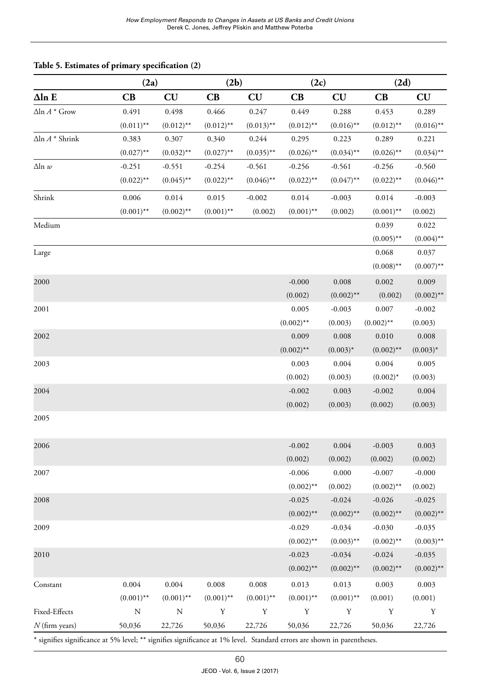|                          |              | (2a)                   |              | (2b)         | (2c)                    |              | (2d)         |              |  |
|--------------------------|--------------|------------------------|--------------|--------------|-------------------------|--------------|--------------|--------------|--|
| $\Delta$ ln E            | CB           | $\mathbf{C}\mathbf{U}$ | CB           | CU           | $\overline{\mathbf{C}}$ | CU           | CB           | CU           |  |
| $\Delta$ ln $A^*$ Grow   | 0.491        | 0.498                  | 0.466        | 0.247        | 0.449                   | 0.288        | 0.453        | 0.289        |  |
|                          | $(0.011)$ ** | $(0.012)$ **           | $(0.012)$ ** | $(0.013)$ ** | $(0.012)$ **            | $(0.016)$ ** | $(0.012)$ ** | $(0.016)$ ** |  |
| $\Delta$ ln $A$ * Shrink | 0.383        | 0.307                  | 0.340        | 0.244        | 0.295                   | 0.223        | 0.289        | 0.221        |  |
|                          | $(0.027)$ ** | $(0.032)$ **           | $(0.027)$ ** | $(0.035)$ ** | $(0.026)$ **            | $(0.034)$ ** | $(0.026)$ ** | $(0.034)$ ** |  |
| $\Delta$ ln $w$          | $-0.251$     | $-0.551$               | $-0.254$     | $-0.561$     | $-0.256$                | $-0.561$     | $-0.256$     | $-0.560$     |  |
|                          | $(0.022)$ ** | $(0.045)$ **           | $(0.022)$ ** | $(0.046)$ ** | $(0.022)$ **            | $(0.047)$ ** | $(0.022)$ ** | $(0.046)$ ** |  |
| Shrink                   | 0.006        | 0.014                  | 0.015        | $-0.002$     | 0.014                   | $-0.003$     | 0.014        | $-0.003$     |  |
|                          | $(0.001)$ ** | $(0.002)$ **           | $(0.001)$ ** | (0.002)      | $(0.001)$ **            | (0.002)      | $(0.001)$ ** | (0.002)      |  |
| Medium                   |              |                        |              |              |                         |              | 0.039        | 0.022        |  |
|                          |              |                        |              |              |                         |              | $(0.005)$ ** | $(0.004)$ ** |  |
| Large                    |              |                        |              |              |                         |              | 0.068        | 0.037        |  |
|                          |              |                        |              |              |                         |              | $(0.008)$ ** | $(0.007)$ ** |  |
| 2000                     |              |                        |              |              | $-0.000$                | 0.008        | 0.002        | 0.009        |  |
|                          |              |                        |              |              | (0.002)                 | $(0.002)$ ** | (0.002)      | $(0.002)$ ** |  |
| 2001                     |              |                        |              |              | 0.005                   | $-0.003$     | 0.007        | $-0.002$     |  |
|                          |              |                        |              |              | $(0.002)$ **            | (0.003)      | $(0.002)$ ** | (0.003)      |  |
| 2002                     |              |                        |              |              | 0.009                   | 0.008        | 0.010        | 0.008        |  |
|                          |              |                        |              |              | $(0.002)$ **            | $(0.003)^*$  | $(0.002)$ ** | $(0.003)^*$  |  |
| 2003                     |              |                        |              |              | 0.003                   | 0.004        | 0.004        | 0.005        |  |
|                          |              |                        |              |              | (0.002)                 | (0.003)      | $(0.002)^*$  | (0.003)      |  |
| 2004                     |              |                        |              |              | $-0.002$                | 0.003        | $-0.002$     | 0.004        |  |
|                          |              |                        |              |              | (0.002)                 | (0.003)      | (0.002)      | (0.003)      |  |
| 2005                     |              |                        |              |              |                         |              |              |              |  |
| 2006                     |              |                        |              |              | $-0.002$                | 0.004        | $-0.003$     | 0.003        |  |
|                          |              |                        |              |              | (0.002)                 | (0.002)      | (0.002)      | (0.002)      |  |
| 2007                     |              |                        |              |              | $-0.006$                | 0.000        | $-0.007$     | $-0.000$     |  |
|                          |              |                        |              |              | $(0.002)$ **            | (0.002)      | $(0.002)$ ** | (0.002)      |  |
| 2008                     |              |                        |              |              | $-0.025$                | $-0.024$     | $-0.026$     | $-0.025$     |  |
|                          |              |                        |              |              | $(0.002)$ **            | $(0.002)$ ** | $(0.002)$ ** | $(0.002)$ ** |  |
| 2009                     |              |                        |              |              | $-0.029$                | $-0.034$     | $-0.030$     | $-0.035$     |  |
|                          |              |                        |              |              | $(0.002)$ **            | $(0.003)$ ** | $(0.002)$ ** | $(0.003)$ ** |  |
| 2010                     |              |                        |              |              | $-0.023$                | $-0.034$     | $-0.024$     | $-0.035$     |  |
|                          |              |                        |              |              | $(0.002)$ **            | $(0.002)$ ** | $(0.002)$ ** | $(0.002)$ ** |  |
| Constant                 | 0.004        | 0.004                  | $\rm 0.008$  | 0.008        | 0.013                   | 0.013        | 0.003        | 0.003        |  |
|                          | $(0.001)$ ** | $(0.001)$ **           | $(0.001)$ ** | $(0.001)$ ** | $(0.001)$ **            | $(0.001)$ ** | (0.001)      | (0.001)      |  |
| Fixed-Effects            | N            | N                      | Υ            | $\mathbf Y$  | Υ                       | Y            | Υ            | Υ            |  |
| $N$ (firm years)         | 50,036       | 22,726                 | 50,036       | 22,726       | 50,036                  | 22,726       | 50,036       | 22,726       |  |

#### **Table 5. Estimates of primary specification (2)**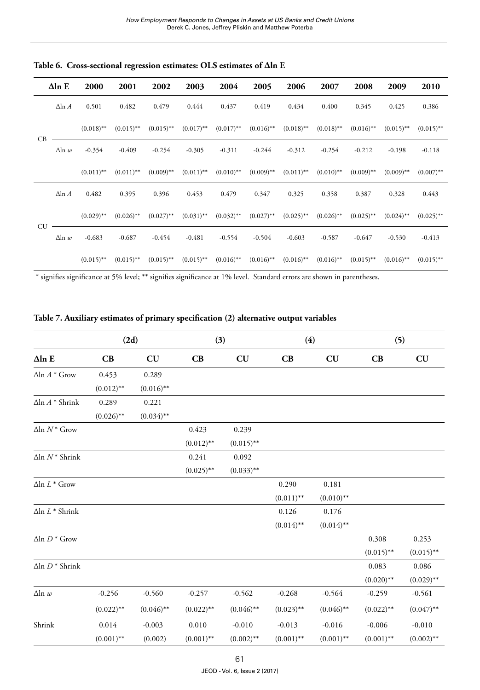|           | $\Delta$ ln E   | 2000         | 2001                    | 2002         | 2003         | 2004            | 2005                                            | 2006         | 2007         | 2008         | 2009                                            | 2010         |
|-----------|-----------------|--------------|-------------------------|--------------|--------------|-----------------|-------------------------------------------------|--------------|--------------|--------------|-------------------------------------------------|--------------|
|           | $\Delta$ ln $A$ | 0.501        | 0.482                   | 0.479        | 0.444        | 0.437           | 0.419                                           | 0.434        | 0.400        | 0.345        | 0.425                                           | 0.386        |
| CB        |                 | $(0.018)$ ** | $(0.015)$ **            | $(0.015)$ ** | $(0.017)$ ** |                 | $(0.017)$ <sup>**</sup> $(0.016)$ <sup>**</sup> | $(0.018)$ ** | $(0.018)$ ** | $(0.016)$ ** | $(0.015)$ **                                    | $(0.015)$ ** |
|           | $\Delta$ ln w   | $-0.354$     | $-0.409$                | $-0.254$     | $-0.305$     | $-0.311$        | $-0.244$                                        | $-0.312$     | $-0.254$     | $-0.212$     | $-0.198$                                        | $-0.118$     |
|           |                 | $(0.011)$ ** | $(0.011)$ **            | $(0.009)$ ** | $(0.011)$ ** | $(0.010)$ **    | $(0.009)$ **                                    | $(0.011)$ ** | $(0.010)$ ** | $(0.009)$ ** | $(0.009)$ **                                    | $(0.007)$ ** |
|           | $\Delta$ ln $A$ | 0.482        | 0.395                   | 0.396        | 0.453        | 0.479           | 0.347                                           | 0.325        | 0.358        | 0.387        | 0.328                                           | 0.443        |
| <b>CU</b> |                 | $(0.029)$ ** | $(0.026)$ **            | $(0.027)$ ** | $(0.031)$ ** | $(0.032)$ **    | $(0.027)$ **                                    | $(0.025)$ ** | $(0.026)$ ** | $(0.025)$ ** | $(0.024)$ **                                    | $(0.025)$ ** |
|           | $\Delta$ ln w   | $-0.683$     | $-0.687$                | $-0.454$     |              | $-0.481 -0.554$ | $-0.504$                                        | $-0.603$     | $-0.587$     | -0.647       | $-0.530$                                        | $-0.413$     |
|           |                 | $(0.015)$ ** | $(0.015)$ <sup>**</sup> | $(0.015)$ ** | $(0.015)$ ** | $(0.016)$ **    | $(0.016)$ **                                    | $(0.016)$ ** | $(0.016)$ ** | $(0.015)$ ** | $(0.016)$ <sup>**</sup> $(0.015)$ <sup>**</sup> |              |

**Table 6. Cross-sectional regression estimates: OLS estimates of Δln E** 

|  |  |  |  |  |  |  |  |  |  |  | Table 7. Auxiliary estimates of primary specification (2) alternative output variables |  |  |  |  |
|--|--|--|--|--|--|--|--|--|--|--|----------------------------------------------------------------------------------------|--|--|--|--|
|--|--|--|--|--|--|--|--|--|--|--|----------------------------------------------------------------------------------------|--|--|--|--|

|                          | (2d)         |              | (3)          |              | (4)                  |              | (5)          |              |
|--------------------------|--------------|--------------|--------------|--------------|----------------------|--------------|--------------|--------------|
| $\Delta$ ln E            | CB           | CU           | CB           | CU           | $\mathbf C\mathbf B$ | CU           | CB           | CU           |
| $\Delta$ ln $A^*$ Grow   | 0.453        | 0.289        |              |              |                      |              |              |              |
|                          | $(0.012)$ ** | $(0.016)$ ** |              |              |                      |              |              |              |
| $\Delta$ ln $A$ * Shrink | 0.289        | 0.221        |              |              |                      |              |              |              |
|                          | $(0.026)$ ** | $(0.034)$ ** |              |              |                      |              |              |              |
| $\Delta$ ln $N^*$ Grow   |              |              | 0.423        | 0.239        |                      |              |              |              |
|                          |              |              | $(0.012)$ ** | $(0.015)$ ** |                      |              |              |              |
| $\Delta$ ln $N^*$ Shrink |              |              | 0.241        | 0.092        |                      |              |              |              |
|                          |              |              | $(0.025)$ ** | $(0.033)$ ** |                      |              |              |              |
| $\Delta$ ln $L^*$ Grow   |              |              |              |              | 0.290                | 0.181        |              |              |
|                          |              |              |              |              | $(0.011)$ **         | $(0.010)$ ** |              |              |
| $\Delta$ ln $L^*$ Shrink |              |              |              |              | 0.126                | 0.176        |              |              |
|                          |              |              |              |              | $(0.014)$ **         | $(0.014)$ ** |              |              |
| $\Delta$ ln $D^*$ Grow   |              |              |              |              |                      |              | 0.308        | 0.253        |
|                          |              |              |              |              |                      |              | $(0.015)$ ** | $(0.015)$ ** |
| $\Delta$ ln $D^*$ Shrink |              |              |              |              |                      |              | 0.083        | 0.086        |
|                          |              |              |              |              |                      |              | $(0.020)$ ** | $(0.029)$ ** |
| $\Delta$ ln w            | $-0.256$     | $-0.560$     | $-0.257$     | $-0.562$     | $-0.268$             | $-0.564$     | $-0.259$     | $-0.561$     |
|                          | $(0.022)$ ** | $(0.046)$ ** | $(0.022)$ ** | $(0.046)$ ** | $(0.023)$ **         | $(0.046)$ ** | $(0.022)$ ** | $(0.047)$ ** |
| Shrink                   | 0.014        | $-0.003$     | 0.010        | $-0.010$     | $-0.013$             | $-0.016$     | $-0.006$     | $-0.010$     |
|                          | $(0.001)$ ** | (0.002)      | $(0.001)$ ** | $(0.002)$ ** | $(0.001)$ **         | $(0.001)$ ** | $(0.001)$ ** | $(0.002)$ ** |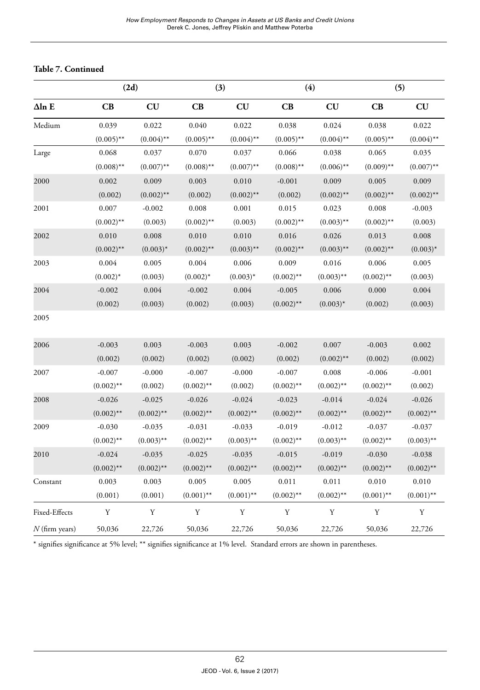#### **Table 7. Continued**

|                  | (2d)         |              |              | (3)          | (4)          |              | (5)          |              |  |
|------------------|--------------|--------------|--------------|--------------|--------------|--------------|--------------|--------------|--|
| $\Delta$ ln E    | CB           | CU           | CB           | CU           | CB           | CU           | CB           | CU           |  |
| Medium           | 0.039        | 0.022        | 0.040        | 0.022        | 0.038        | 0.024        | 0.038        | 0.022        |  |
|                  | $(0.005)$ ** | $(0.004)$ ** | $(0.005)$ ** | $(0.004)$ ** | $(0.005)$ ** | $(0.004)$ ** | $(0.005)$ ** | $(0.004)$ ** |  |
| Large            | 0.068        | 0.037        | 0.070        | 0.037        | 0.066        | 0.038        | 0.065        | 0.035        |  |
|                  | $(0.008)$ ** | $(0.007)$ ** | $(0.008)$ ** | $(0.007)$ ** | $(0.008)$ ** | $(0.006)$ ** | $(0.009)$ ** | $(0.007)$ ** |  |
| 2000             | 0.002        | 0.009        | 0.003        | 0.010        | $-0.001$     | 0.009        | 0.005        | 0.009        |  |
|                  | (0.002)      | $(0.002)$ ** | (0.002)      | $(0.002)$ ** | (0.002)      | $(0.002)$ ** | $(0.002)$ ** | $(0.002)$ ** |  |
| 2001             | 0.007        | $-0.002$     | 0.008        | 0.001        | 0.015        | 0.023        | 0.008        | $-0.003$     |  |
|                  | $(0.002)$ ** | (0.003)      | $(0.002)$ ** | (0.003)      | $(0.002)$ ** | $(0.003)$ ** | $(0.002)$ ** | (0.003)      |  |
| 2002             | 0.010        | 0.008        | 0.010        | 0.010        | 0.016        | 0.026        | 0.013        | 0.008        |  |
|                  | $(0.002)$ ** | $(0.003)^*$  | $(0.002)$ ** | $(0.003)$ ** | $(0.002)$ ** | $(0.003)$ ** | $(0.002)$ ** | $(0.003)^*$  |  |
| 2003             | 0.004        | 0.005        | 0.004        | 0.006        | 0.009        | 0.016        | 0.006        | 0.005        |  |
|                  | $(0.002)^*$  | (0.003)      | $(0.002)^*$  | $(0.003)^*$  | $(0.002)$ ** | $(0.003)$ ** | $(0.002)$ ** | (0.003)      |  |
| 2004             | $-0.002$     | 0.004        | $-0.002$     | 0.004        | $-0.005$     | 0.006        | 0.000        | 0.004        |  |
|                  | (0.002)      | (0.003)      | (0.002)      | (0.003)      | $(0.002)$ ** | $(0.003)^*$  | (0.002)      | (0.003)      |  |
| 2005             |              |              |              |              |              |              |              |              |  |
| 2006             | $-0.003$     | 0.003        | $-0.003$     | 0.003        | $-0.002$     | 0.007        | $-0.003$     | 0.002        |  |
|                  | (0.002)      | (0.002)      | (0.002)      | (0.002)      | (0.002)      | $(0.002)$ ** | (0.002)      | (0.002)      |  |
| 2007             | $-0.007$     | $-0.000$     | $-0.007$     | $-0.000$     | $-0.007$     | 0.008        | $-0.006$     | $-0.001$     |  |
|                  | $(0.002)$ ** | (0.002)      | $(0.002)$ ** | (0.002)      | $(0.002)$ ** | $(0.002)$ ** | $(0.002)$ ** | (0.002)      |  |
| 2008             | $-0.026$     | $-0.025$     | $-0.026$     | $-0.024$     | $-0.023$     | $-0.014$     | $-0.024$     | $-0.026$     |  |
|                  | $(0.002)$ ** | $(0.002)$ ** | $(0.002)$ ** | $(0.002)$ ** | $(0.002)$ ** | $(0.002)$ ** | $(0.002)$ ** | $(0.002)$ ** |  |
| 2009             | $-0.030$     | $-0.035$     | $-0.031$     | $-0.033$     | $-0.019$     | $-0.012$     | $-0.037$     | $-0.037$     |  |
|                  | $(0.002)$ ** | $(0.003)$ ** | $(0.002)$ ** | $(0.003)$ ** | $(0.002)$ ** | $(0.003)$ ** | $(0.002)$ ** | $(0.003)$ ** |  |
| 2010             | $-0.024$     | $-0.035$     | $-0.025$     | $-0.035$     | $-0.015$     | $-0.019$     | $-0.030$     | $-0.038$     |  |
|                  | $(0.002)$ ** | $(0.002)$ ** | $(0.002)$ ** | $(0.002)$ ** | $(0.002)$ ** | $(0.002)$ ** | $(0.002)$ ** | $(0.002)$ ** |  |
| Constant         | 0.003        | 0.003        | 0.005        | 0.005        | 0.011        | 0.011        | 0.010        | 0.010        |  |
|                  | (0.001)      | (0.001)      | $(0.001)$ ** | $(0.001)$ ** | $(0.002)$ ** | $(0.002)$ ** | $(0.001)$ ** | $(0.001)$ ** |  |
| Fixed-Effects    | Y            | Y            | Y            | Y            | Y            | Y            | Y            | Y            |  |
| $N$ (firm years) | 50,036       | 22,726       | 50,036       | 22,726       | 50,036       | 22,726       | 50,036       | 22,726       |  |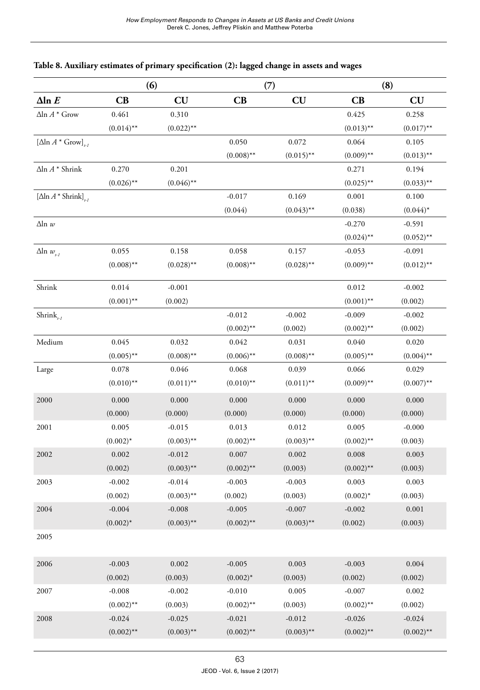|                                             | (6)          |              | (7)          |              | (8)                  |              |  |
|---------------------------------------------|--------------|--------------|--------------|--------------|----------------------|--------------|--|
| $\Delta$ ln $E$                             | CB           | CU           | CB           | CU           | $\mathbf C\mathbf B$ | CU           |  |
| $\Delta$ ln $A^*$ Grow                      | 0.461        | 0.310        |              |              | 0.425                | 0.258        |  |
|                                             | $(0.014)$ ** | $(0.022)$ ** |              |              | $(0.013)$ **         | $(0.017)$ ** |  |
| $[\Delta \ln A^* \text{Grow}]_{\text{L}}$   |              |              | 0.050        | 0.072        | 0.064                | 0.105        |  |
|                                             |              |              | $(0.008)$ ** | $(0.015)$ ** | $(0.009)$ **         | $(0.013)$ ** |  |
| $\Delta {\rm ln}\,A$ * Shrink               | 0.270        | 0.201        |              |              | 0.271                | 0.194        |  |
|                                             | $(0.026)$ ** | $(0.046)$ ** |              |              | $(0.025)$ **         | $(0.033)$ ** |  |
| $[\Delta \ln A * \text{Shrink}]_{\text{A}}$ |              |              | $-0.017$     | 0.169        | 0.001                | 0.100        |  |
|                                             |              |              | (0.044)      | $(0.043)$ ** | (0.038)              | $(0.044)^*$  |  |
| $\Delta$ ln w                               |              |              |              |              | $-0.270$             | $-0.591$     |  |
|                                             |              |              |              |              | $(0.024)$ **         | $(0.052)$ ** |  |
| $\Delta$ ln $w_{H}$                         | 0.055        | 0.158        | 0.058        | 0.157        | $-0.053$             | $-0.091$     |  |
|                                             | $(0.008)$ ** | $(0.028)$ ** | $(0.008)$ ** | $(0.028)$ ** | $(0.009)$ **         | $(0.012)$ ** |  |
| Shrink                                      | 0.014        | $-0.001$     |              |              | 0.012                | $-0.002$     |  |
|                                             | $(0.001)$ ** | (0.002)      |              |              | $(0.001)$ **         | (0.002)      |  |
| Shrink <sub><math>i,j</math></sub>          |              |              | $-0.012$     | $-0.002$     | $-0.009$             | $-0.002$     |  |
|                                             |              |              | $(0.002)$ ** | (0.002)      | $(0.002)$ **         | (0.002)      |  |
| Medium                                      | 0.045        | 0.032        | 0.042        | 0.031        | 0.040                | 0.020        |  |
|                                             | $(0.005)$ ** | $(0.008)$ ** | $(0.006)$ ** | $(0.008)$ ** | $(0.005)$ **         | $(0.004)$ ** |  |
| Large                                       | 0.078        | 0.046        | 0.068        | 0.039        | 0.066                | 0.029        |  |
|                                             | $(0.010)$ ** | $(0.011)$ ** | $(0.010)$ ** | $(0.011)$ ** | $(0.009)$ **         | $(0.007)$ ** |  |
| 2000                                        | 0.000        | 0.000        | 0.000        | 0.000        | 0.000                | 0.000        |  |
|                                             | (0.000)      | (0.000)      | (0.000)      | (0.000)      | (0.000)              | (0.000)      |  |
| 2001                                        | 0.005        | $-0.015$     | 0.013        | 0.012        | 0.005                | $-0.000$     |  |
|                                             | $(0.002)^*$  | $(0.003)$ ** | $(0.002)$ ** | $(0.003)$ ** | $(0.002)$ **         | (0.003)      |  |
| 2002                                        | 0.002        | $-0.012$     | 0.007        | 0.002        | 0.008                | 0.003        |  |
|                                             | (0.002)      | $(0.003)$ ** | $(0.002)$ ** | (0.003)      | $(0.002)$ **         | (0.003)      |  |
| 2003                                        | $-0.002$     | $-0.014$     | $-0.003$     | $-0.003$     | 0.003                | 0.003        |  |
|                                             | (0.002)      | $(0.003)$ ** | (0.002)      | (0.003)      | $(0.002)^*$          | (0.003)      |  |
| 2004                                        | $-0.004$     | $-0.008$     | $-0.005$     | $-0.007$     | $-0.002$             | 0.001        |  |
|                                             | $(0.002)^*$  | $(0.003)$ ** | $(0.002)$ ** | $(0.003)$ ** | (0.002)              | (0.003)      |  |
| 2005                                        |              |              |              |              |                      |              |  |
| 2006                                        | $-0.003$     | 0.002        | $-0.005$     | 0.003        | $-0.003$             | 0.004        |  |
|                                             | (0.002)      | (0.003)      | $(0.002)*$   | (0.003)      | (0.002)              | (0.002)      |  |
| 2007                                        | $-0.008$     | $-0.002$     | $-0.010$     | 0.005        | $-0.007$             | 0.002        |  |
|                                             | $(0.002)$ ** | (0.003)      | $(0.002)$ ** | (0.003)      | $(0.002)$ **         | (0.002)      |  |
| 2008                                        | $-0.024$     | $-0.025$     | $-0.021$     | $-0.012$     | $-0.026$             | $-0.024$     |  |
|                                             | $(0.002)$ ** | $(0.003)$ ** | $(0.002)$ ** | $(0.003)$ ** | $(0.002)$ **         | $(0.002)$ ** |  |
|                                             |              |              |              |              |                      |              |  |

### **Table 8. Auxiliary estimates of primary specification (2): lagged change in assets and wages**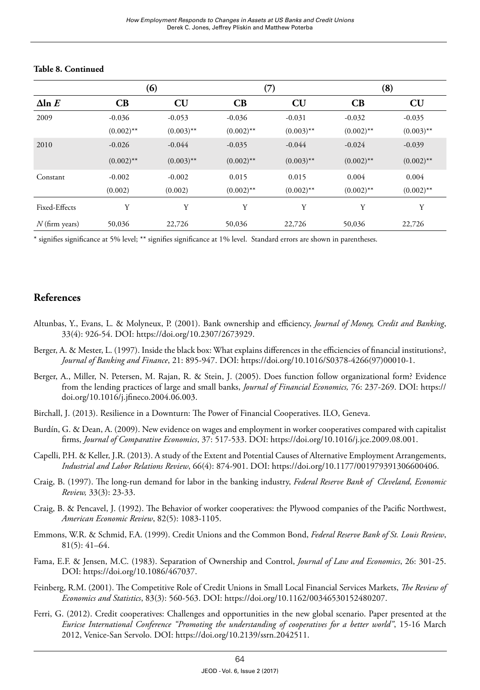|                  |              | (6)          | (7)          |              | (8)          |              |  |
|------------------|--------------|--------------|--------------|--------------|--------------|--------------|--|
| $\Delta$ ln $E$  | CB           | CU           | CB           | CU           | CB           | CU           |  |
| 2009             | $-0.036$     | $-0.053$     | $-0.036$     | $-0.031$     | $-0.032$     | $-0.035$     |  |
|                  | $(0.002)$ ** | $(0.003)$ ** | $(0.002)$ ** | $(0.003)$ ** | $(0.002)$ ** | $(0.003)$ ** |  |
| 2010             | $-0.026$     | $-0.044$     | $-0.035$     | $-0.044$     | $-0.024$     | $-0.039$     |  |
|                  | $(0.002)$ ** | $(0.003)$ ** | $(0.002)$ ** | $(0.003)$ ** | $(0.002)$ ** | $(0.002)$ ** |  |
| Constant         | $-0.002$     | $-0.002$     | 0.015        | 0.015        | 0.004        | 0.004        |  |
|                  | (0.002)      | (0.002)      | $(0.002)$ ** | $(0.002)$ ** | $(0.002)$ ** | $(0.002)$ ** |  |
| Fixed-Effects    | Y            | Y            | Υ            | Y            | Y            | Y            |  |
| $N$ (firm years) | 50,036       | 22,726       | 50,036       | 22,726       | 50,036       | 22,726       |  |

#### **Table 8. Continued**

\* signifies significance at 5% level; \*\* signifies significance at 1% level. Standard errors are shown in parentheses.

## **References**

- Altunbas, Y., Evans, L. & Molyneux, P. (2001). Bank ownership and efficiency, *Journal of Money, Credit and Banking*, 33(4): 926-54. DOI: <https://doi.org/10.2307/2673929>.
- Berger, A. & Mester, L. (1997). Inside the black box: What explains differences in the efficiencies of financial institutions?, *Journal of Banking and Finance*, 21: 895-947. DOI: [https://doi.org/10.1016/S0378-4266\(97\)00010-1](https://doi.org/10.1016/S0378-4266(97)00010-1).
- Berger, A., Miller, N. Petersen, M. Rajan, R. & Stein, J. (2005). Does function follow organizational form? Evidence from the lending practices of large and small banks, *Journal of Financial Economics,* 76: 237-269. DOI: [https://](https://doi.org/10.1016/j.jfineco.2004.06.003) [doi.org/10.1016/j.jfineco.2004.06.003](https://doi.org/10.1016/j.jfineco.2004.06.003).
- Birchall, J. (2013). Resilience in a Downturn: The Power of Financial Cooperatives. ILO, Geneva.
- Burdín, G. & Dean, A. (2009). New evidence on wages and employment in worker cooperatives compared with capitalist firms, *Journal of Comparative Economics*, 37: 517-533. DOI:<https://doi.org/10.1016/j.jce.2009.08.001>.
- Capelli, P.H. & Keller, J.R. (2013). A study of the Extent and Potential Causes of Alternative Employment Arrangements, *Industrial and Labor Relations Review*, 66(4): 874-901. DOI: <https://doi.org/10.1177/001979391306600406>.
- Craig, B. (1997). The long-run demand for labor in the banking industry, *Federal Reserve Bank of Cleveland, Economic Review,* 33(3): 23-33.
- Craig, B. & Pencavel, J. (1992). The Behavior of worker cooperatives: the Plywood companies of the Pacific Northwest, *American Economic Review*, 82(5): 1083-1105.
- Emmons, W.R. & Schmid, F.A. (1999). Credit Unions and the Common Bond, *Federal Reserve Bank of St. Louis Review*, 81(5): 41–64.
- Fama, E.F. & Jensen, M.C. (1983). Separation of Ownership and Control, *Journal of Law and Economics*, 26: 301-25. DOI: [https://doi.org/10.1086/467037.](https://doi.org/10.1086/467037)
- Feinberg, R.M. (2001). The Competitive Role of Credit Unions in Small Local Financial Services Markets, *[The Review of](http://econpapers.repec.org/article/tprrestat/)  [Economics and Statistics](http://econpapers.repec.org/article/tprrestat/)*, 83(3): 560-563. DOI: <https://doi.org/10.1162/00346530152480207>.
- Ferri, G. (2012). Credit cooperatives: Challenges and opportunities in the new global scenario. Paper presented at the *Euricse International Conference "Promoting the understanding of cooperatives for a better world"*, 15-16 March 2012, Venice-San Servolo. DOI:<https://doi.org/10.2139/ssrn.2042511>.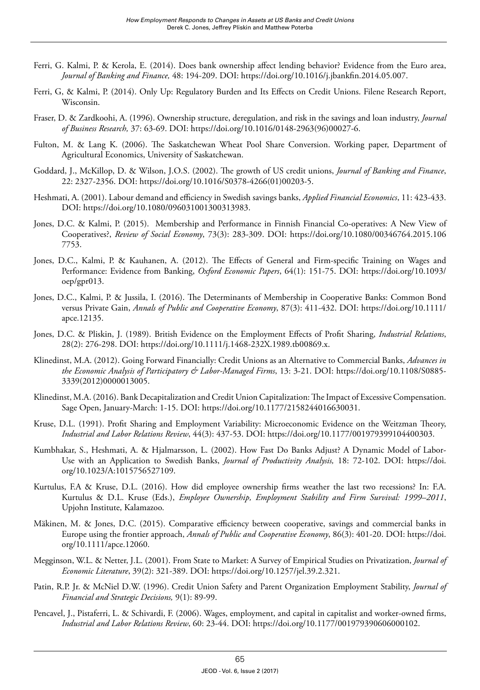- Ferri, G. Kalmi, P. & Kerola, E. (2014). Does bank ownership affect lending behavior? Evidence from the Euro area, *Journal of Banking and Finance,* 48: 194-209. DOI: [https://doi.org/10.1016/j.jbankfin.2014.05.007.](https://doi.org/10.1016/j.jbankfin.2014.05.007)
- Ferri, G, & Kalmi, P. (2014). Only Up: Regulatory Burden and Its Effects on Credit Unions. Filene Research Report, Wisconsin.
- Fraser, D. & Zardkoohi, A. (1996). Ownership structure, deregulation, and risk in the savings and loan industry, *Journal of Business Research,* 37: 63-69. DOI: [https://doi.org/10.1016/0148-2963\(96\)00027-6.](https://doi.org/10.1016/0148-2963(96)00027-6)
- Fulton, M. & Lang K. (2006). The Saskatchewan Wheat Pool Share Conversion. Working paper, Department of Agricultural Economics, University of Saskatchewan.
- Goddard, J., McKillop, D. & Wilson, J.O.S. (2002). The growth of US credit unions, *Journal of Banking and Finance*, 22: 2327-2356. DOI: [https://doi.org/10.1016/S0378-4266\(01\)00203-5.](https://doi.org/10.1016/S0378-4266(01)00203-5)
- Heshmati, A. (2001). Labour demand and efficiency in Swedish savings banks, *Applied Financial Economics*, 11: 423-433. DOI: [https://doi.org/10.1080/096031001300313983.](https://doi.org/10.1080/096031001300313983)
- Jones, D.C. & Kalmi, P. (2015). Membership and Performance in Finnish Financial Co-operatives: A New View of Cooperatives?, *Review of Social Economy*, 73(3): 283-309. DOI: [https://doi.org/10.1080/00346764.2015.106](https://doi.org/10.1080/00346764.2015.1067753) [7753](https://doi.org/10.1080/00346764.2015.1067753).
- Jones, D.C., Kalmi, P. & Kauhanen, A. (2012). The Effects of General and Firm-specific Training on Wages and Performance: Evidence from Banking, *Oxford Economic Papers*, 64(1): 151-75. DOI: [https://doi.org/10.1093/](https://doi.org/10.1093/oep/gpr013) [oep/gpr013.](https://doi.org/10.1093/oep/gpr013)
- Jones, D.C., Kalmi, P. & Jussila, I. (2016). The Determinants of Membership in Cooperative Banks: Common Bond versus Private Gain, *Annals of Public and Cooperative Economy*, 87(3): 411-432. DOI: [https://doi.org/10.1111/](https://doi.org/10.1111/apce.12135) [apce.12135](https://doi.org/10.1111/apce.12135).
- Jones, D.C. & Pliskin, J. (1989). British Evidence on the Employment Effects of Profit Sharing, *Industrial Relations*, 28(2): 276-298. DOI:<https://doi.org/10.1111/j.1468-232X.1989.tb00869.x>.
- Klinedinst, M.A. (2012). Going Forward Financially: Credit Unions as an Alternative to Commercial Banks, *[Advances in](http://www.emeraldinsight.com/books.htm?issn=0885-3339&PHPSESSID=1lbsub6209n2vp7747s7r6g6s2)  [the Economic Analysis of Participatory & Labor-Managed Firms](http://www.emeraldinsight.com/books.htm?issn=0885-3339&PHPSESSID=1lbsub6209n2vp7747s7r6g6s2)*, 13: 3-21. DOI: [https://doi.org/10.1108/S0885-](https://doi.org/10.1108/S0885-3339(2012)0000013005) [3339\(2012\)0000013005](https://doi.org/10.1108/S0885-3339(2012)0000013005).
- Klinedinst, M.A. (2016). Bank Decapitalization and Credit Union Capitalization: The Impact of Excessive Compensation. Sage Open, January-March: 1-15. DOI: [https://doi.org/10.1177/2158244016630031.](https://doi.org/10.1177/2158244016630031)
- Kruse, D.L. (1991). Profit Sharing and Employment Variability: Microeconomic Evidence on the Weitzman Theory, *Industrial and Labor Relations Review*, 44(3): 437-53. DOI: [https://doi.org/10.1177/001979399104400303.](https://doi.org/10.1177/001979399104400303)
- Kumbhakar, S., Heshmati, A. & Hjalmarsson, L. (2002). How Fast Do Banks Adjust? A Dynamic Model of Labor-Use with an Application to Swedish Banks, *Journal of Productivity Analysis,* 18: 72-102. DOI: [https://doi.](https://doi.org/10.1023/A:1015756527109) [org/10.1023/A:1015756527109](https://doi.org/10.1023/A:1015756527109).
- Kurtulus, F.A & Kruse, D.L. (2016). How did employee ownership firms weather the last two recessions? In: F.A. Kurtulus & D.L. Kruse (Eds.), *Employee Ownership, Employment Stability and Firm Survival: 1999–2011*, Upjohn Institute, Kalamazoo.
- Mäkinen, M. & Jones, D.C. (2015). Comparative efficiency between cooperative, savings and commercial banks in Europe using the frontier approach, *Annals of Public and Cooperative Economy*, 86(3): 401-20. DOI: [https://doi.](https://doi.org/10.1111/apce.12060) [org/10.1111/apce.12060.](https://doi.org/10.1111/apce.12060)
- Megginson, W.L. & Netter, J.L. (2001). From State to Market: A Survey of Empirical Studies on Privatization, *Journal of Economic Literature*, 39(2): 321-389. DOI: <https://doi.org/10.1257/jel.39.2.321>.
- Patin, R.P. Jr. & McNiel D.W. (1996). Credit Union Safety and Parent Organization Employment Stability, *Journal of Financial and Strategic Decisions,* 9(1): 89-99.
- Pencavel, J., Pistaferri, L. & Schivardi, F. (2006). Wages, employment, and capital in capitalist and worker-owned firms, *Industrial and Labor Relations Review*, 60: 23-44. DOI:<https://doi.org/10.1177/001979390606000102>.